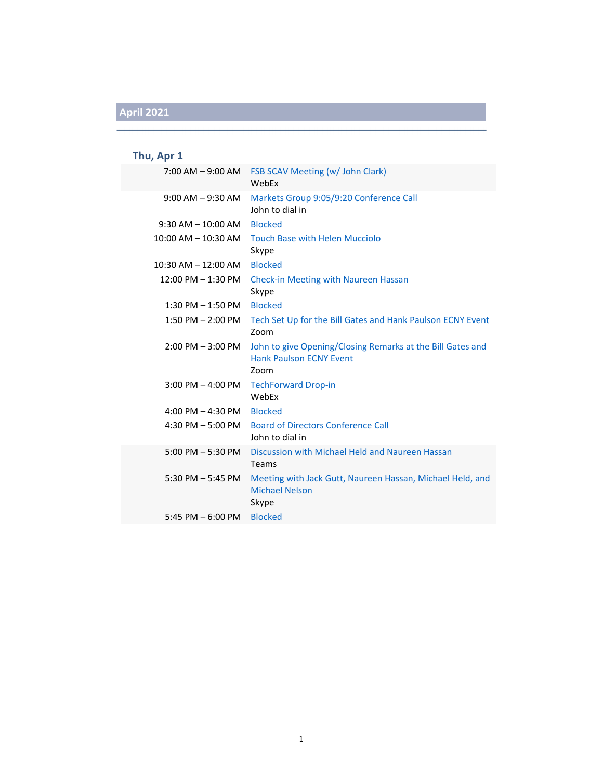### **Thu, Apr 1**

|                                             | 7:00 AM - 9:00 AM FSB SCAV Meeting (w/ John Clark)<br>WebEx                                          |
|---------------------------------------------|------------------------------------------------------------------------------------------------------|
| $9:00$ AM $-9:30$ AM                        | Markets Group 9:05/9:20 Conference Call<br>John to dial in                                           |
| $9:30$ AM $- 10:00$ AM                      | <b>Blocked</b>                                                                                       |
| $10:00$ AM $- 10:30$ AM                     | <b>Touch Base with Helen Mucciolo</b><br>Skype                                                       |
| $10:30$ AM $- 12:00$ AM                     | <b>Blocked</b>                                                                                       |
| 12:00 PM - 1:30 PM                          | Check-in Meeting with Naureen Hassan<br>Skype                                                        |
| $1:30$ PM $-1:50$ PM                        | <b>Blocked</b>                                                                                       |
| $1:50$ PM $- 2:00$ PM                       | Tech Set Up for the Bill Gates and Hank Paulson ECNY Event<br>Zoom                                   |
| $2:00$ PM $-3:00$ PM                        | John to give Opening/Closing Remarks at the Bill Gates and<br><b>Hank Paulson ECNY Event</b><br>Zoom |
| $3:00$ PM $-$ 4:00 PM                       | <b>TechForward Drop-in</b><br>WebEx                                                                  |
| $4:00 \text{ PM} - 4:30 \text{ PM}$ Blocked |                                                                                                      |
|                                             | 4:30 PM - 5:00 PM Board of Directors Conference Call<br>John to dial in                              |
| $5:00$ PM $-5:30$ PM                        | Discussion with Michael Held and Naureen Hassan<br>Teams                                             |
| 5:30 PM $-$ 5:45 PM                         | Meeting with Jack Gutt, Naureen Hassan, Michael Held, and<br><b>Michael Nelson</b><br>Skype          |
| 5:45 PM $-$ 6:00 PM                         | <b>Blocked</b>                                                                                       |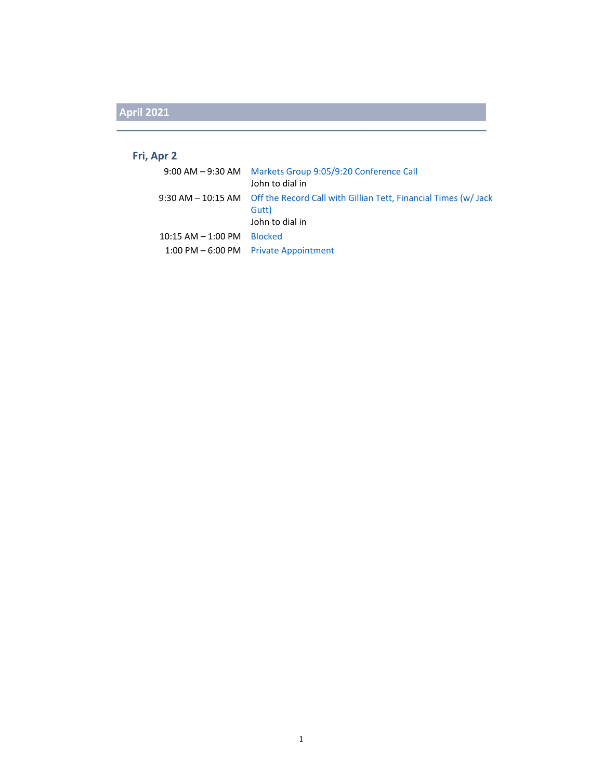#### **Fri, Apr 2**

|                        | 9:00 AM - 9:30 AM Markets Group 9:05/9:20 Conference Call                                  |
|------------------------|--------------------------------------------------------------------------------------------|
|                        | John to dial in                                                                            |
|                        | 9:30 AM – 10:15 AM Off the Record Call with Gillian Tett, Financial Times (w/Jack<br>Gutt) |
|                        | John to dial in                                                                            |
| $10:15$ AM $-$ 1:00 PM | <b>Blocked</b>                                                                             |
|                        | 1:00 PM $-6:00$ PM Private Appointment                                                     |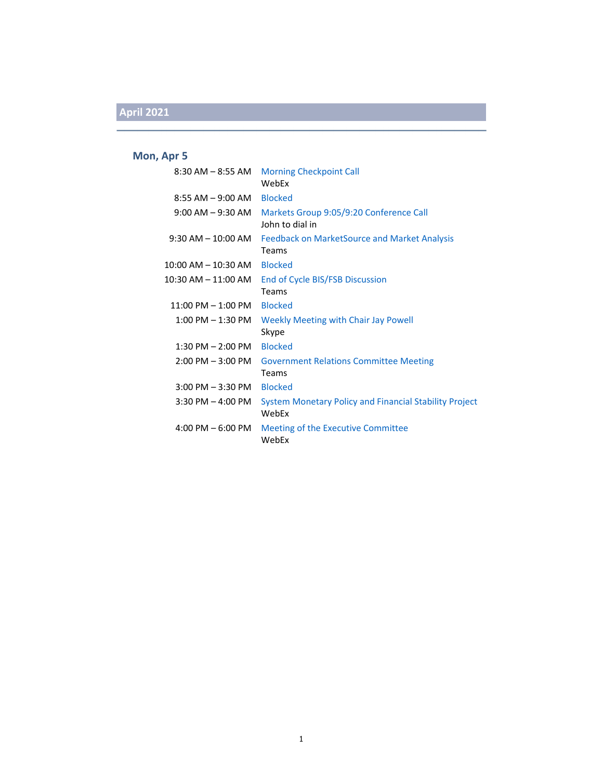#### **Mon, Apr 5**

| 8:30 AM – 8:55 AM             | <b>Morning Checkpoint Call</b><br>WebEx                                |
|-------------------------------|------------------------------------------------------------------------|
| 8:55 AM - 9:00 AM Blocked     |                                                                        |
| $9:00$ AM $ 9:30$ AM          | Markets Group 9:05/9:20 Conference Call<br>John to dial in             |
| $9:30$ AM $-$ 10:00 AM        | <b>Feedback on MarketSource and Market Analysis</b><br>Teams           |
| 10:00 AM – 10:30 AM           | <b>Blocked</b>                                                         |
| 10:30 AM – 11:00 AM           | End of Cycle BIS/FSB Discussion<br>Teams                               |
| $11:00$ PM $-1:00$ PM Blocked |                                                                        |
| $1:00$ PM $-1:30$ PM          | Weekly Meeting with Chair Jay Powell<br>Skype                          |
| $1:30$ PM $- 2:00$ PM         | <b>Blocked</b>                                                         |
| $2:00$ PM $-3:00$ PM          | <b>Government Relations Committee Meeting</b><br>Teams                 |
| $3:00$ PM $-3:30$ PM          | <b>Blocked</b>                                                         |
| $3:30$ PM $-$ 4:00 PM         | <b>System Monetary Policy and Financial Stability Project</b><br>WebEx |
| 4:00 PM $-6:00$ PM            | Meeting of the Executive Committee<br>WebEx                            |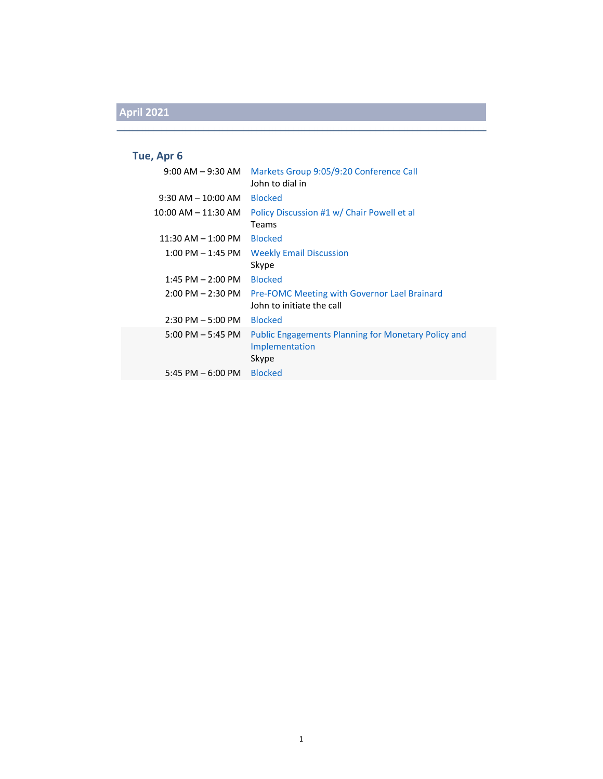### **Tue, Apr 6**

| $9:00$ AM $ 9:30$ AM    | Markets Group 9:05/9:20 Conference Call<br>John to dial in                            |
|-------------------------|---------------------------------------------------------------------------------------|
| $9:30$ AM $- 10:00$ AM  | <b>Blocked</b>                                                                        |
| $10:00$ AM $- 11:30$ AM | Policy Discussion #1 w/ Chair Powell et al                                            |
|                         | Teams                                                                                 |
| $11:30$ AM $-1:00$ PM   | <b>Blocked</b>                                                                        |
| $1:00$ PM $-1:45$ PM    | <b>Weekly Email Discussion</b>                                                        |
|                         | Skype                                                                                 |
| $1:45$ PM $- 2:00$ PM   | <b>Blocked</b>                                                                        |
| $2:00$ PM $- 2:30$ PM   | <b>Pre-FOMC Meeting with Governor Lael Brainard</b><br>John to initiate the call      |
| $2:30$ PM $-5:00$ PM    | <b>Blocked</b>                                                                        |
| $5:00$ PM $-5:45$ PM    | <b>Public Engagements Planning for Monetary Policy and</b><br>Implementation<br>Skype |
| 5:45 PM $-$ 6:00 PM     | <b>Blocked</b>                                                                        |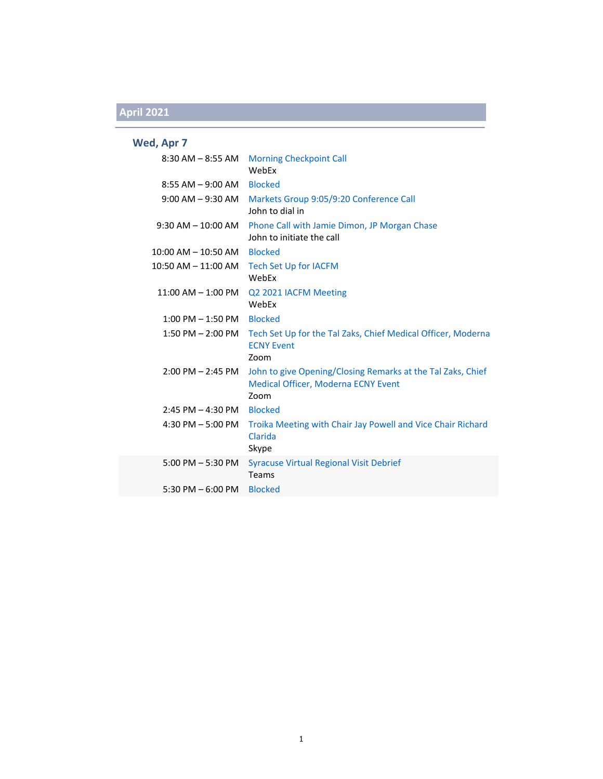### **Wed, Apr 7**

|                         | 8:30 AM - 8:55 AM Morning Checkpoint Call<br>WebEx                                                                |
|-------------------------|-------------------------------------------------------------------------------------------------------------------|
| $8:55$ AM $-9:00$ AM    | <b>Blocked</b>                                                                                                    |
| $9:00$ AM $-9:30$ AM    | Markets Group 9:05/9:20 Conference Call<br>John to dial in                                                        |
| $9:30$ AM $- 10:00$ AM  | Phone Call with Jamie Dimon, JP Morgan Chase<br>John to initiate the call                                         |
| $10:00$ AM $- 10:50$ AM | <b>Blocked</b>                                                                                                    |
| $10:50$ AM $- 11:00$ AM | <b>Tech Set Up for IACFM</b><br>WebEx                                                                             |
| $11:00$ AM $-1:00$ PM   | Q2 2021 IACFM Meeting<br>WebEx                                                                                    |
| $1:00$ PM $-1:50$ PM    | <b>Blocked</b>                                                                                                    |
| $1:50$ PM $- 2:00$ PM   | Tech Set Up for the Tal Zaks, Chief Medical Officer, Moderna<br><b>ECNY Event</b><br>Zoom                         |
| $2:00$ PM $- 2:45$ PM   | John to give Opening/Closing Remarks at the Tal Zaks, Chief<br><b>Medical Officer, Moderna ECNY Event</b><br>Zoom |
| $2:45$ PM $- 4:30$ PM   | <b>Blocked</b>                                                                                                    |
| 4:30 PM $-$ 5:00 PM     | Troika Meeting with Chair Jay Powell and Vice Chair Richard<br>Clarida<br>Skype                                   |
| $5:00$ PM $-5:30$ PM    | <b>Syracuse Virtual Regional Visit Debrief</b><br>Teams                                                           |
| 5:30 PM $-$ 6:00 PM     | <b>Blocked</b>                                                                                                    |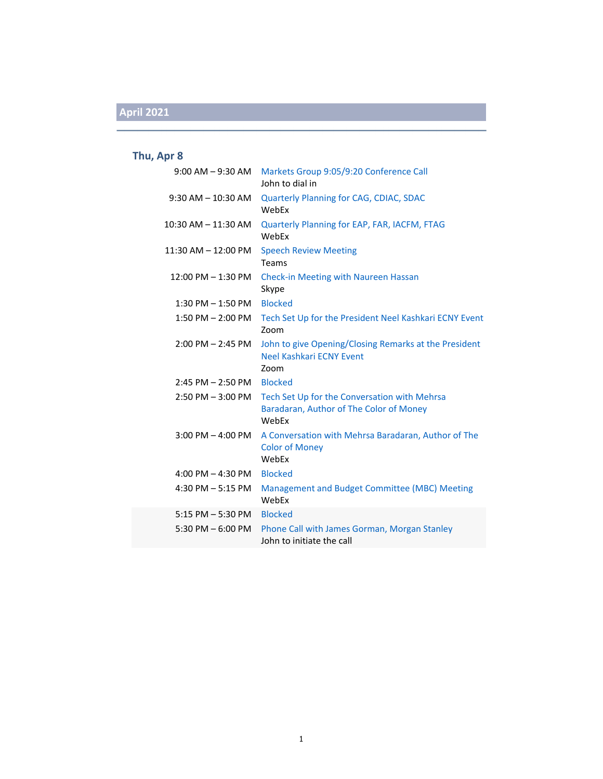### **Thu, Apr 8**

| $9:00$ AM $-9:30$ AM   | Markets Group 9:05/9:20 Conference Call<br>John to dial in                                       |
|------------------------|--------------------------------------------------------------------------------------------------|
| $9:30$ AM $- 10:30$ AM | Quarterly Planning for CAG, CDIAC, SDAC<br>WebEx                                                 |
| 10:30 AM - 11:30 AM    | Quarterly Planning for EAP, FAR, IACFM, FTAG<br>WebFx                                            |
| 11:30 AM - 12:00 PM    | <b>Speech Review Meeting</b><br>Teams                                                            |
| 12:00 PM - 1:30 PM     | <b>Check-in Meeting with Naureen Hassan</b><br>Skype                                             |
| $1:30$ PM $-1:50$ PM   | <b>Blocked</b>                                                                                   |
| $1:50$ PM $- 2:00$ PM  | Tech Set Up for the President Neel Kashkari ECNY Event<br>Zoom                                   |
| $2:00$ PM $- 2:45$ PM  | John to give Opening/Closing Remarks at the President<br>Neel Kashkari ECNY Event<br>Zoom        |
| $2:45$ PM $- 2:50$ PM  | <b>Blocked</b>                                                                                   |
| $2:50$ PM $-3:00$ PM   | Tech Set Up for the Conversation with Mehrsa<br>Baradaran, Author of The Color of Money<br>WebEx |
| $3:00$ PM $-$ 4:00 PM  | A Conversation with Mehrsa Baradaran, Author of The<br><b>Color of Money</b><br>WebEx            |
| 4:00 PM $-$ 4:30 PM    | <b>Blocked</b>                                                                                   |
| 4:30 PM $-$ 5:15 PM    | Management and Budget Committee (MBC) Meeting<br>WebEx                                           |
| $5:15$ PM $-5:30$ PM   | <b>Blocked</b>                                                                                   |
| 5:30 PM $-$ 6:00 PM    | Phone Call with James Gorman, Morgan Stanley<br>John to initiate the call                        |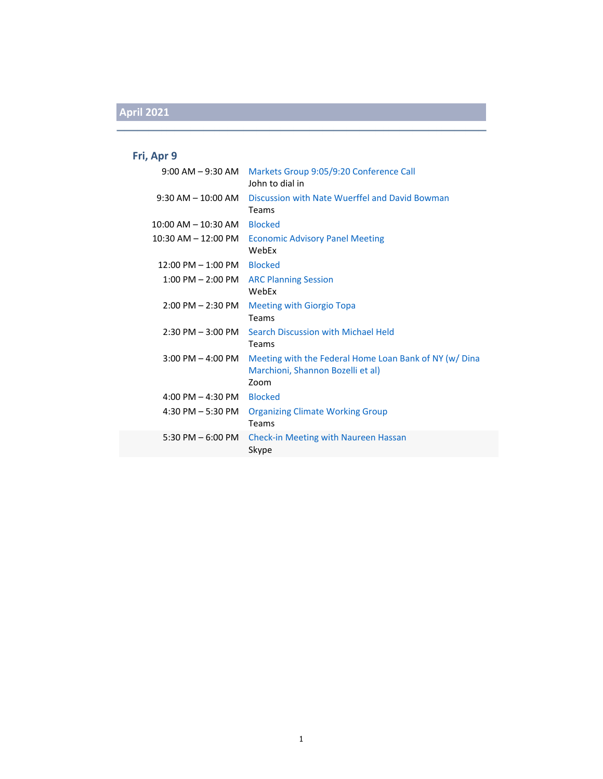### **Fri, Apr 9**

| $9:00$ AM $ 9:30$ AM                 | Markets Group 9:05/9:20 Conference Call<br>John to dial in                                         |
|--------------------------------------|----------------------------------------------------------------------------------------------------|
| $9:30$ AM $- 10:00$ AM               | Discussion with Nate Wuerffel and David Bowman<br>Teams                                            |
| $10:00$ AM $- 10:30$ AM              | <b>Blocked</b>                                                                                     |
| $10:30$ AM $- 12:00$ PM              | <b>Economic Advisory Panel Meeting</b><br>WebEx                                                    |
| $12:00 \text{ PM} - 1:00 \text{ PM}$ | <b>Blocked</b>                                                                                     |
| $1:00$ PM $- 2:00$ PM                | <b>ARC Planning Session</b><br>WebEx                                                               |
| $2:00$ PM $- 2:30$ PM                | <b>Meeting with Giorgio Topa</b><br><b>Teams</b>                                                   |
| $2:30$ PM $-3:00$ PM                 | Search Discussion with Michael Held<br>Teams                                                       |
| $3:00$ PM $-$ 4:00 PM                | Meeting with the Federal Home Loan Bank of NY (w/Dina<br>Marchioni, Shannon Bozelli et al)<br>Zoom |
| 4:00 PM $-$ 4:30 PM                  | <b>Blocked</b>                                                                                     |
| $4:30$ PM $-5:30$ PM                 | <b>Organizing Climate Working Group</b><br>Teams                                                   |
| 5:30 PM $-6:00$ PM                   | <b>Check-in Meeting with Naureen Hassan</b><br>Skype                                               |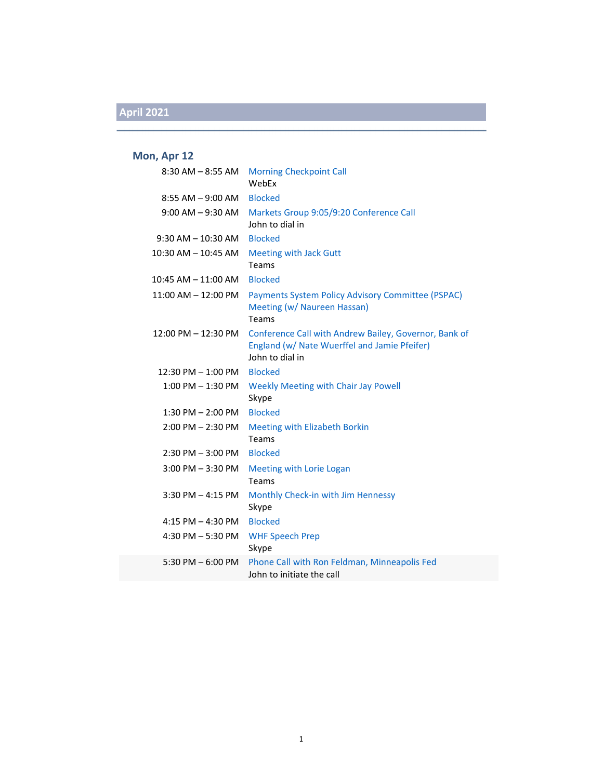#### **Mon, Apr 12**

| $8:30$ AM $-8:55$ AM  | <b>Morning Checkpoint Call</b><br>WebEx                                                                                  |
|-----------------------|--------------------------------------------------------------------------------------------------------------------------|
| $8:55$ AM $-9:00$ AM  | <b>Blocked</b>                                                                                                           |
| $9:00$ AM $-9:30$ AM  | Markets Group 9:05/9:20 Conference Call<br>John to dial in                                                               |
| $9:30$ AM $-10:30$ AM | <b>Blocked</b>                                                                                                           |
| 10:30 AM - 10:45 AM   | <b>Meeting with Jack Gutt</b><br>Teams                                                                                   |
| 10:45 AM - 11:00 AM   | <b>Blocked</b>                                                                                                           |
| 11:00 AM - 12:00 PM   | Payments System Policy Advisory Committee (PSPAC)<br>Meeting (w/ Naureen Hassan)<br><b>Teams</b>                         |
| 12:00 PM - 12:30 PM   | Conference Call with Andrew Bailey, Governor, Bank of<br>England (w/ Nate Wuerffel and Jamie Pfeifer)<br>John to dial in |
| 12:30 PM - 1:00 PM    | <b>Blocked</b>                                                                                                           |
| $1:00$ PM $-1:30$ PM  | <b>Weekly Meeting with Chair Jay Powell</b><br>Skype                                                                     |
| $1:30$ PM $- 2:00$ PM | <b>Blocked</b>                                                                                                           |
| $2:00$ PM $- 2:30$ PM | <b>Meeting with Elizabeth Borkin</b><br>Teams                                                                            |
| $2:30$ PM $-3:00$ PM  | <b>Blocked</b>                                                                                                           |
| $3:00$ PM $-3:30$ PM  | <b>Meeting with Lorie Logan</b><br>Teams                                                                                 |
| $3:30$ PM $-4:15$ PM  | Monthly Check-in with Jim Hennessy<br>Skype                                                                              |
| 4:15 PM $-$ 4:30 PM   | <b>Blocked</b>                                                                                                           |
| 4:30 PM $-5:30$ PM    | <b>WHF Speech Prep</b><br>Skype                                                                                          |
| 5:30 PM $-6:00$ PM    | Phone Call with Ron Feldman, Minneapolis Fed<br>John to initiate the call                                                |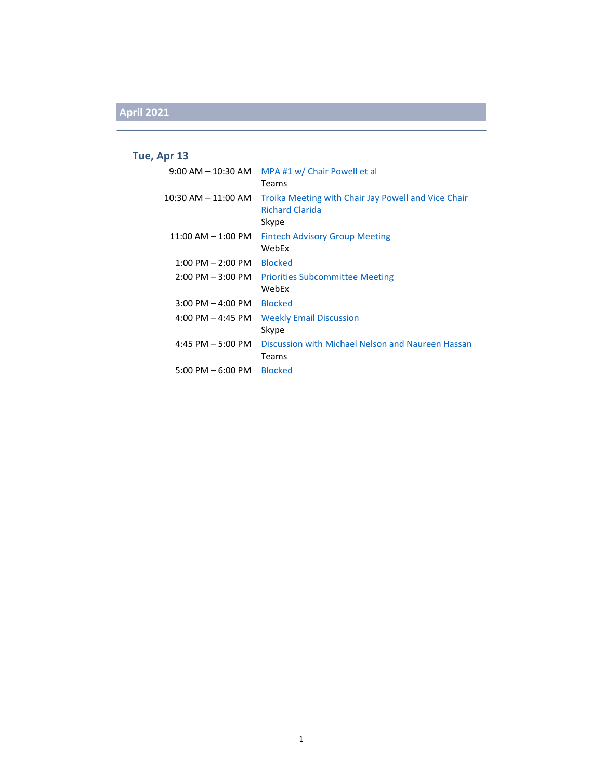### **Tue, Apr 13**

| $9:00$ AM $-$ 10:30 AM | MPA #1 w/ Chair Powell et al<br>Teams                                                  |
|------------------------|----------------------------------------------------------------------------------------|
| 10:30 AM – 11:00 AM    | Troika Meeting with Chair Jay Powell and Vice Chair<br><b>Richard Clarida</b><br>Skype |
| $11:00$ AM $-1:00$ PM  | <b>Fintech Advisory Group Meeting</b><br>WebEx                                         |
| $1:00$ PM $- 2:00$ PM  | <b>Blocked</b>                                                                         |
| $2:00$ PM $-3:00$ PM   | <b>Priorities Subcommittee Meeting</b><br>WebEx                                        |
| $3:00$ PM $-$ 4:00 PM  | <b>Blocked</b>                                                                         |
| 4:00 PM $-$ 4:45 PM    | <b>Weekly Email Discussion</b><br>Skype                                                |
| 4:45 PM $-$ 5:00 PM    | Discussion with Michael Nelson and Naureen Hassan<br>Teams                             |
| $5:00$ PM $-6:00$ PM   | <b>Blocked</b>                                                                         |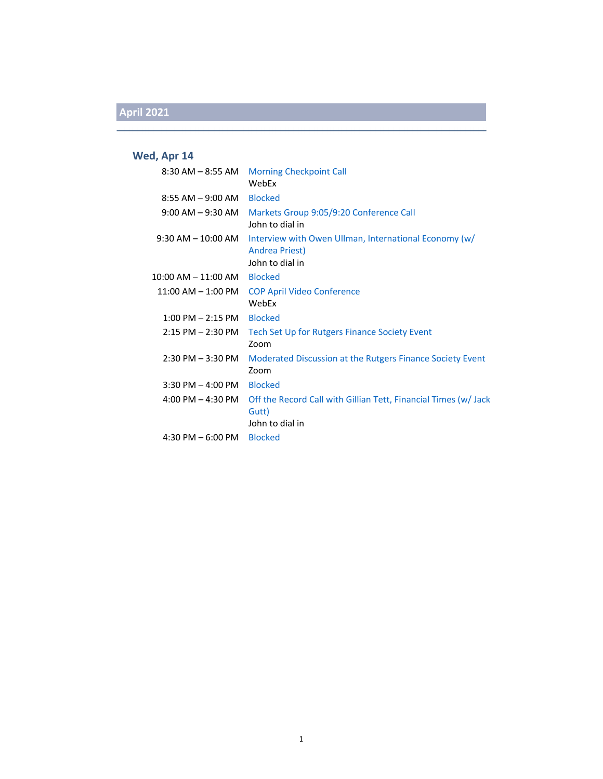#### **Wed, Apr 14**

| $8:30$ AM $-8:55$ AM                | <b>Morning Checkpoint Call</b><br>WebEx                                                    |
|-------------------------------------|--------------------------------------------------------------------------------------------|
| $8:55$ AM $-9:00$ AM                | <b>Blocked</b>                                                                             |
| $9:00$ AM $-9:30$ AM                | Markets Group 9:05/9:20 Conference Call<br>John to dial in                                 |
| $9:30$ AM $-10:00$ AM               | Interview with Owen Ullman, International Economy (w/<br>Andrea Priest)<br>John to dial in |
| 10:00 AM - 11:00 AM                 | <b>Blocked</b>                                                                             |
| $11:00$ AM $-1:00$ PM               | <b>COP April Video Conference</b><br>WebEx                                                 |
| $1:00$ PM $- 2:15$ PM               | <b>Blocked</b>                                                                             |
| $2:15$ PM $- 2:30$ PM               | Tech Set Up for Rutgers Finance Society Event<br>Zoom                                      |
| $2:30$ PM $-3:30$ PM                | Moderated Discussion at the Rutgers Finance Society Event<br>Zoom                          |
| $3:30$ PM $-$ 4:00 PM               | <b>Blocked</b>                                                                             |
| $4:00 \text{ PM} - 4:30 \text{ PM}$ | Off the Record Call with Gillian Tett, Financial Times (w/Jack<br>Gutt)<br>John to dial in |
| 4:30 PM $-6:00$ PM                  | <b>Blocked</b>                                                                             |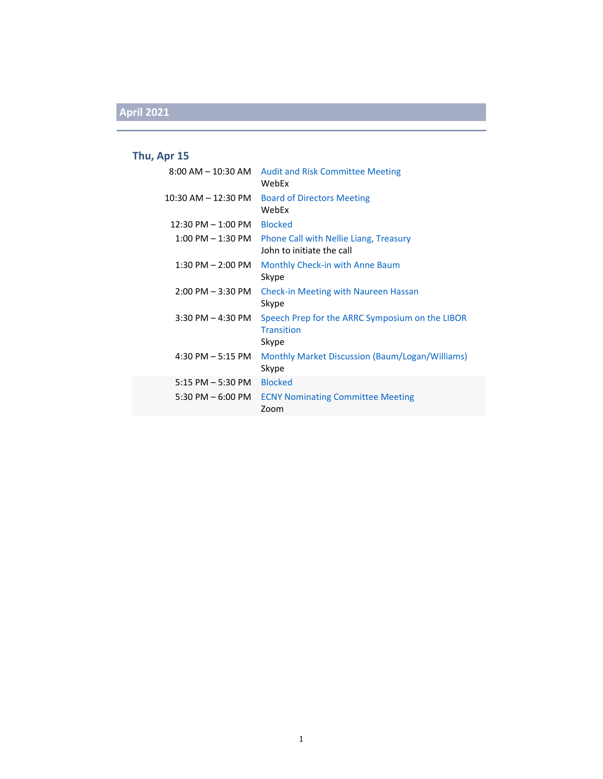### **Thu, Apr 15**

| 8:00 AM – 10:30 AM                   | <b>Audit and Risk Committee Meeting</b><br>WebFx                              |
|--------------------------------------|-------------------------------------------------------------------------------|
| 10:30 AM - 12:30 PM                  | <b>Board of Directors Meeting</b><br>WebFx                                    |
| $12:30 \text{ PM} - 1:00 \text{ PM}$ | <b>Blocked</b>                                                                |
| 1:00 PM – 1:30 PM                    | Phone Call with Nellie Liang, Treasury<br>John to initiate the call           |
| $1:30$ PM $- 2:00$ PM                | Monthly Check-in with Anne Baum<br>Skype                                      |
| 2:00 PM – 3:30 PM                    | <b>Check-in Meeting with Naureen Hassan</b><br>Skype                          |
| 3:30 PM – 4:30 PM                    | Speech Prep for the ARRC Symposium on the LIBOR<br><b>Transition</b><br>Skype |
| 4:30 PM – 5:15 PM                    | Monthly Market Discussion (Baum/Logan/Williams)<br>Skype                      |
| $5:15$ PM $-5:30$ PM                 | <b>Blocked</b>                                                                |
| 5:30 PM – 6:00 PM                    | <b>ECNY Nominating Committee Meeting</b><br>Zoom                              |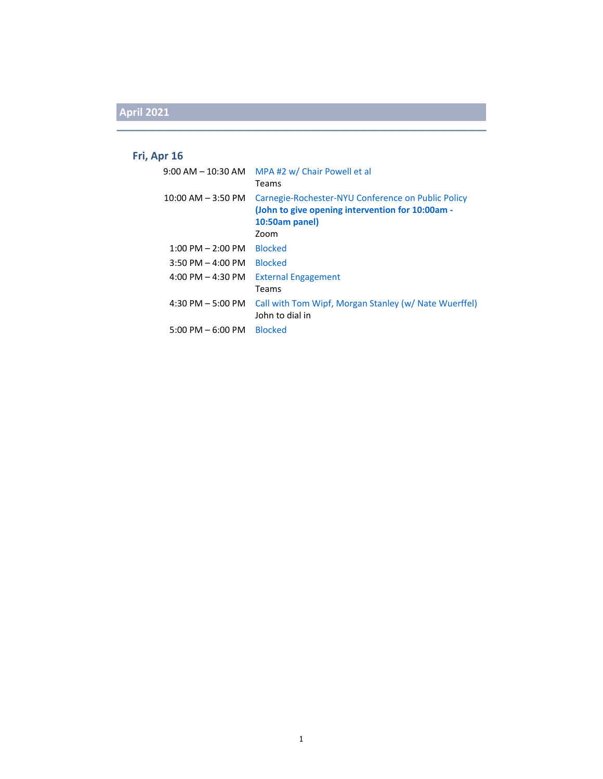### **Fri, Apr 16**

| $9:00$ AM $-$ 10:30 AM              | MPA#2 w/ Chair Powell et al<br>Teams                                                                                             |
|-------------------------------------|----------------------------------------------------------------------------------------------------------------------------------|
| $10:00$ AM $-$ 3:50 PM              | Carnegie-Rochester-NYU Conference on Public Policy<br>(John to give opening intervention for 10:00am -<br>10:50am panel)<br>Zoom |
| $1:00$ PM $- 2:00$ PM               | <b>Blocked</b>                                                                                                                   |
| $3:50 \text{ PM} - 4:00 \text{ PM}$ | <b>Blocked</b>                                                                                                                   |
| 4:00 PM $-$ 4:30 PM                 | <b>External Engagement</b><br>Teams                                                                                              |
| 4:30 PM $-$ 5:00 PM                 | Call with Tom Wipf, Morgan Stanley (w/ Nate Wuerffel)<br>John to dial in                                                         |
| $5:00 \text{ PM} - 6:00 \text{ PM}$ | <b>Blocked</b>                                                                                                                   |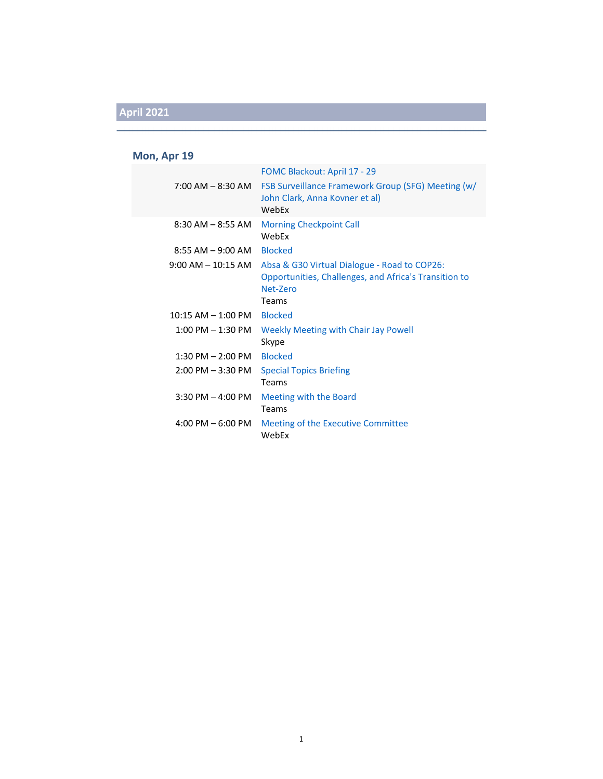#### **Mon, Apr 19**

|                                     | FOMC Blackout: April 17 - 29                                                                                               |
|-------------------------------------|----------------------------------------------------------------------------------------------------------------------------|
| $7:00$ AM $-$ 8:30 AM               | <b>FSB Surveillance Framework Group (SFG) Meeting (w/</b><br>John Clark, Anna Kovner et al)<br>WebFx                       |
| $8:30$ AM $-8:55$ AM                | <b>Morning Checkpoint Call</b><br>WebEx                                                                                    |
| $8:55$ AM $-9:00$ AM                | <b>Blocked</b>                                                                                                             |
| $9:00$ AM $-$ 10:15 AM              | Absa & G30 Virtual Dialogue - Road to COP26:<br>Opportunities, Challenges, and Africa's Transition to<br>Net-Zero<br>Teams |
| $10:15 AM - 1:00 PM$                | <b>Blocked</b>                                                                                                             |
| $1:00$ PM $-1:30$ PM                | Weekly Meeting with Chair Jay Powell<br>Skype                                                                              |
| $1:30$ PM $- 2:00$ PM               | <b>Blocked</b>                                                                                                             |
| $2:00$ PM $-3:30$ PM                | <b>Special Topics Briefing</b><br>Teams                                                                                    |
| $3:30$ PM $-$ 4:00 PM               | Meeting with the Board<br>Teams                                                                                            |
| $4:00 \text{ PM} - 6:00 \text{ PM}$ | Meeting of the Executive Committee<br>WebEx                                                                                |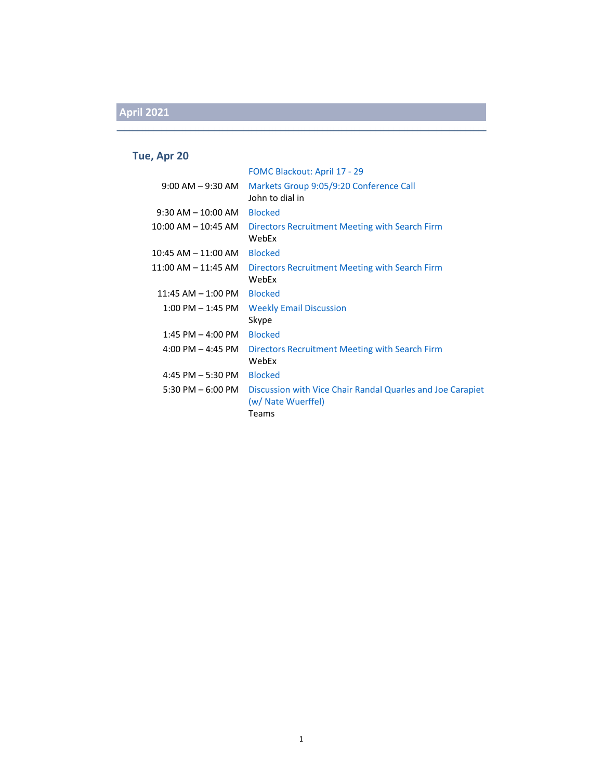#### **Tue, Apr 20**

|                                         | FOMC Blackout: April 17 - 29                                                              |
|-----------------------------------------|-------------------------------------------------------------------------------------------|
| $9:00$ AM $ 9:30$ AM                    | Markets Group 9:05/9:20 Conference Call<br>John to dial in                                |
| $9:30$ AM $-10:00$ AM                   | <b>Blocked</b>                                                                            |
| 10:00 AM – 10:45 AM                     | Directors Recruitment Meeting with Search Firm<br>WebEx                                   |
| 10:45 AM - 11:00 AM                     | <b>Blocked</b>                                                                            |
| 11:00 AM – 11:45 AM                     | Directors Recruitment Meeting with Search Firm<br>WebEx                                   |
| $11:45$ AM $-1:00$ PM                   | <b>Blocked</b>                                                                            |
| 1:00 PM – 1:45 PM                       | <b>Weekly Email Discussion</b><br>Skype                                                   |
| $1:45$ PM $-$ 4:00 PM                   | <b>Blocked</b>                                                                            |
| $4:00 \, \text{PM} - 4:45 \, \text{PM}$ | Directors Recruitment Meeting with Search Firm<br>WebEx                                   |
| 4:45 PM $-$ 5:30 PM                     | <b>Blocked</b>                                                                            |
| 5:30 PM – 6:00 PM                       | Discussion with Vice Chair Randal Quarles and Joe Carapiet<br>(w/ Nate Wuerffel)<br>Teams |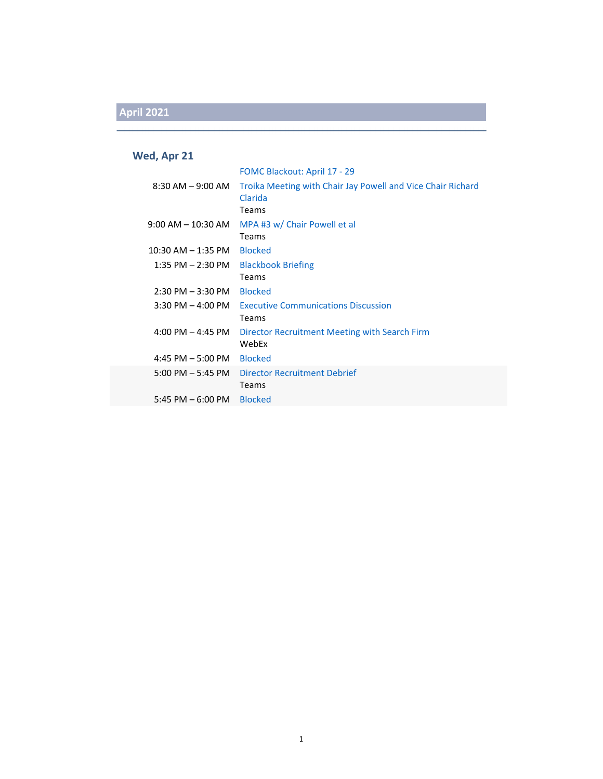### **Wed, Apr 21**

|                                     | FOMC Blackout: April 17 - 29                                                    |
|-------------------------------------|---------------------------------------------------------------------------------|
| $8:30$ AM $-9:00$ AM                | Troika Meeting with Chair Jay Powell and Vice Chair Richard<br>Clarida<br>Teams |
|                                     |                                                                                 |
| $9:00$ AM $-$ 10:30 AM              | MPA #3 w/ Chair Powell et al<br><b>Teams</b>                                    |
| $10:30$ AM $-$ 1:35 PM              | <b>Blocked</b>                                                                  |
| 1:35 PM – 2:30 PM                   | <b>Blackbook Briefing</b>                                                       |
|                                     | <b>Teams</b>                                                                    |
| $2:30 \text{ PM} - 3:30 \text{ PM}$ | <b>Blocked</b>                                                                  |
| $3:30$ PM $-$ 4:00 PM               | <b>Executive Communications Discussion</b><br><b>Teams</b>                      |
| 4:00 PM $-$ 4:45 PM                 | Director Recruitment Meeting with Search Firm<br>WebEx                          |
| $4:45$ PM $-5:00$ PM                | <b>Blocked</b>                                                                  |
| $5:00 \text{ PM} - 5:45 \text{ PM}$ | Director Recruitment Debrief<br>Teams                                           |
| 5:45 PM $-6:00$ PM                  | <b>Blocked</b>                                                                  |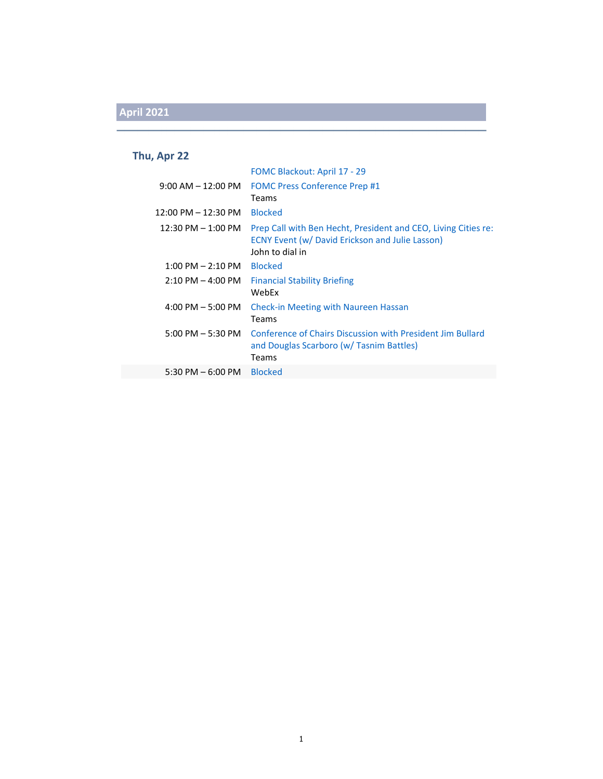#### **Thu, Apr 22**

|                                       | <b>FOMC Blackout: April 17 - 29</b>                                                                                                         |
|---------------------------------------|---------------------------------------------------------------------------------------------------------------------------------------------|
| $9:00$ AM $-12:00$ PM                 | <b>FOMC Press Conference Prep #1</b><br>Teams                                                                                               |
| $12:00 \text{ PM} - 12:30 \text{ PM}$ | <b>Blocked</b>                                                                                                                              |
| $12:30$ PM $- 1:00$ PM                | Prep Call with Ben Hecht, President and CEO, Living Cities re:<br><b>ECNY Event (w/ David Erickson and Julie Lasson)</b><br>John to dial in |
| $1:00 \text{ PM} - 2:10 \text{ PM}$   | <b>Blocked</b>                                                                                                                              |
| $2:10$ PM $-$ 4:00 PM                 | <b>Financial Stability Briefing</b><br>WebEx                                                                                                |
| $4:00$ PM $-5:00$ PM                  | <b>Check-in Meeting with Naureen Hassan</b><br>Teams                                                                                        |
| $5:00 \text{ PM} - 5:30 \text{ PM}$   | Conference of Chairs Discussion with President Jim Bullard<br>and Douglas Scarboro (w/ Tasnim Battles)<br>Teams                             |
| 5:30 PM $-6:00$ PM                    | <b>Blocked</b>                                                                                                                              |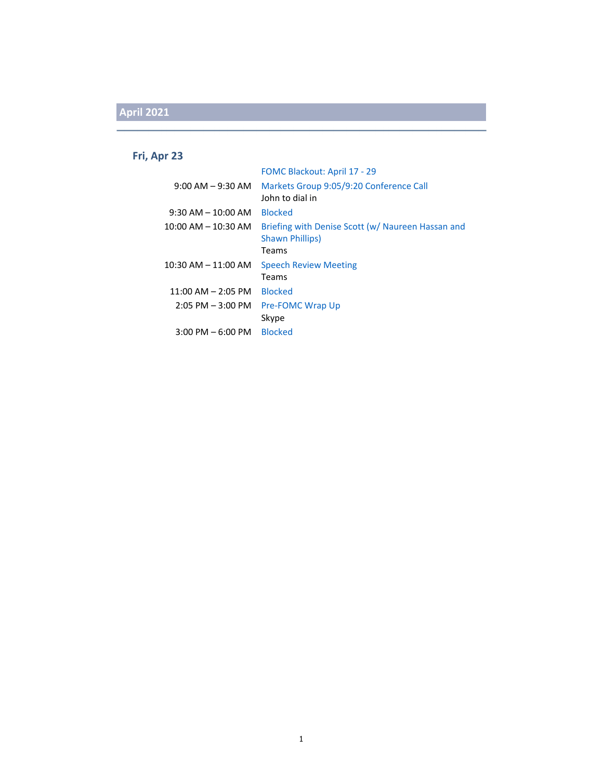#### **Fri, Apr 23**

|                                     | <b>FOMC Blackout: April 17 - 29</b>                                                  |
|-------------------------------------|--------------------------------------------------------------------------------------|
| $9:00$ AM $-9:30$ AM                | Markets Group 9:05/9:20 Conference Call<br>John to dial in                           |
| $9:30$ AM $-10:00$ AM               | <b>Blocked</b>                                                                       |
| $10:00$ AM $ 10:30$ AM              | Briefing with Denise Scott (w/ Naureen Hassan and<br><b>Shawn Phillips)</b><br>Teams |
| $10:30$ AM $- 11:00$ AM             | <b>Speech Review Meeting</b>                                                         |
|                                     | Teams                                                                                |
| $11:00$ AM $-$ 2:05 PM              | <b>Blocked</b>                                                                       |
| $2:05$ PM $-3:00$ PM                | <b>Pre-FOMC Wrap Up</b>                                                              |
|                                     | Skype                                                                                |
| $3:00 \text{ PM} - 6:00 \text{ PM}$ | <b>Blocked</b>                                                                       |
|                                     |                                                                                      |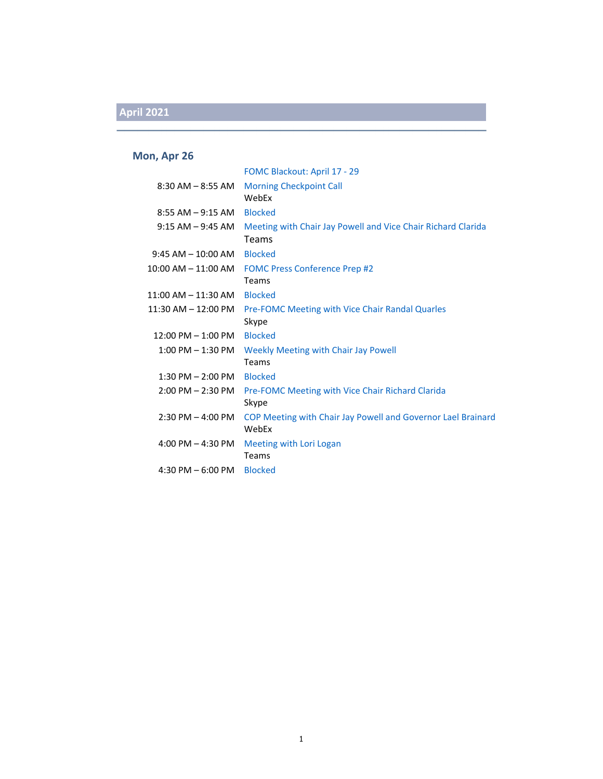#### **Mon, Apr 26**

|                         | FOMC Blackout: April 17 - 29                                          |
|-------------------------|-----------------------------------------------------------------------|
| $8:30$ AM $-8:55$ AM    | <b>Morning Checkpoint Call</b><br>WebEx                               |
| $8:55$ AM $-9:15$ AM    | <b>Blocked</b>                                                        |
| $9:15$ AM $ 9:45$ AM    | Meeting with Chair Jay Powell and Vice Chair Richard Clarida          |
|                         | Teams                                                                 |
| $9:45$ AM $-$ 10:00 AM  | <b>Blocked</b>                                                        |
| 10:00 AM - 11:00 AM     | <b>FOMC Press Conference Prep #2</b>                                  |
|                         | <b>Teams</b>                                                          |
| 11:00 AM – 11:30 AM     | <b>Blocked</b>                                                        |
| $11:30$ AM $- 12:00$ PM | Pre-FOMC Meeting with Vice Chair Randal Quarles<br>Skype              |
| $12:00$ PM $- 1:00$ PM  | <b>Blocked</b>                                                        |
| $1:00$ PM $-1:30$ PM    | <b>Weekly Meeting with Chair Jay Powell</b><br>Teams                  |
| $1:30$ PM $- 2:00$ PM   | <b>Blocked</b>                                                        |
| $2:00$ PM $- 2:30$ PM   | Pre-FOMC Meeting with Vice Chair Richard Clarida<br>Skype             |
| $2:30$ PM $-$ 4:00 PM   | COP Meeting with Chair Jay Powell and Governor Lael Brainard<br>WebEx |
| 4:00 PM $-$ 4:30 PM     | Meeting with Lori Logan<br>Teams                                      |
| $4:30$ PM $-6:00$ PM    | <b>Blocked</b>                                                        |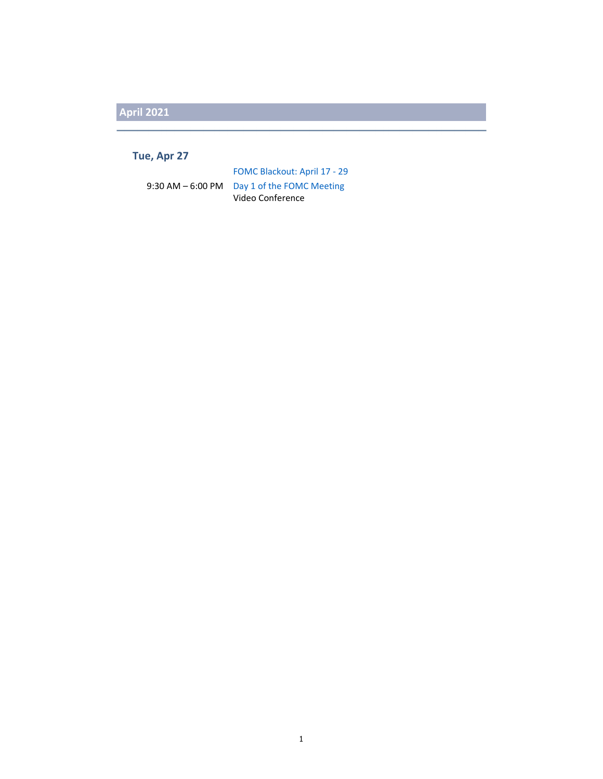#### **Tue, Apr 27**

FOMC Blackout: April 17 ‐ 29 9:30 AM – 6:00 PM Day 1 of the FOMC Meeting Video Conference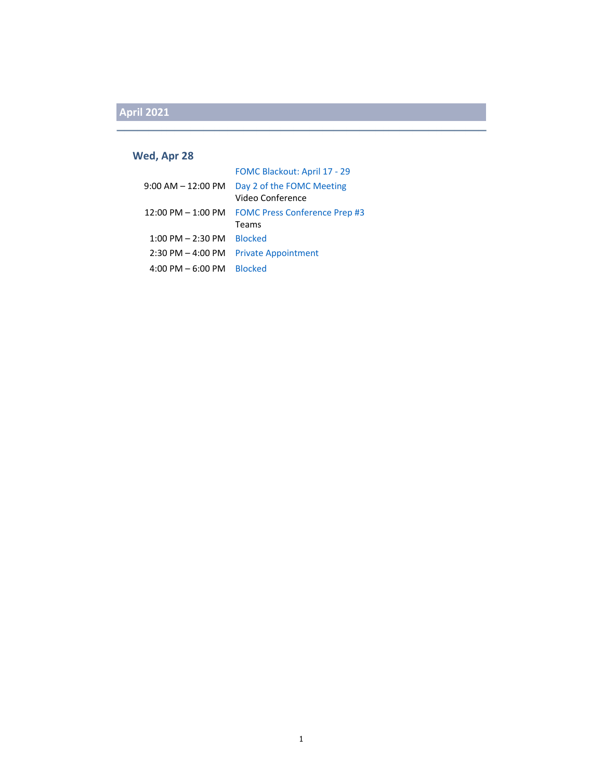#### **Wed, Apr 28**

|                        | FOMC Blackout: April 17 - 29                  |
|------------------------|-----------------------------------------------|
| $9:00$ AM $-12:00$ PM  | Day 2 of the FOMC Meeting<br>Video Conference |
| $12:00$ PM $- 1:00$ PM | <b>FOMC Press Conference Prep #3</b>          |
|                        | Teams                                         |
| $1:00$ PM $- 2:30$ PM  | <b>Blocked</b>                                |
| $2:30$ PM $-$ 4:00 PM  | <b>Private Appointment</b>                    |
| $4:00$ PM $-6:00$ PM   | <b>Blocked</b>                                |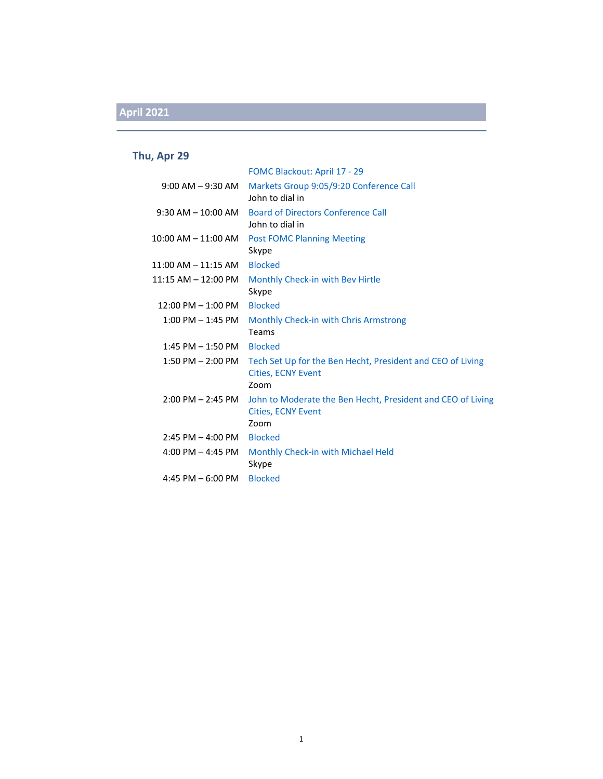#### **Thu, Apr 29**

|                              | FOMC Blackout: April 17 - 29                                                                     |
|------------------------------|--------------------------------------------------------------------------------------------------|
| $9:00$ AM $-9:30$ AM         | Markets Group 9:05/9:20 Conference Call<br>John to dial in                                       |
| $9:30$ AM $-10:00$ AM        | <b>Board of Directors Conference Call</b><br>John to dial in                                     |
| $10:00$ AM $- 11:00$ AM      | <b>Post FOMC Planning Meeting</b><br>Skype                                                       |
| $11:00$ AM $-11:15$ AM       | <b>Blocked</b>                                                                                   |
| $11:15$ AM $- 12:00$ PM      | Monthly Check-in with Bev Hirtle<br>Skype                                                        |
| $12:00$ PM $- 1:00$ PM       | <b>Blocked</b>                                                                                   |
| $1:00$ PM $-1:45$ PM         | Monthly Check-in with Chris Armstrong<br>Teams                                                   |
| $1:45$ PM $-1:50$ PM         | <b>Blocked</b>                                                                                   |
| $1:50$ PM $- 2:00$ PM        | Tech Set Up for the Ben Hecht, President and CEO of Living<br><b>Cities, ECNY Event</b><br>Zoom  |
| $2:00$ PM $- 2:45$ PM        | John to Moderate the Ben Hecht, President and CEO of Living<br><b>Cities, ECNY Event</b><br>Zoom |
| $2:45$ PM $-4:00$ PM Blocked |                                                                                                  |
| 4:00 PM $-$ 4:45 PM          | Monthly Check-in with Michael Held<br>Skype                                                      |
| 4:45 PM $-6:00$ PM           | <b>Blocked</b>                                                                                   |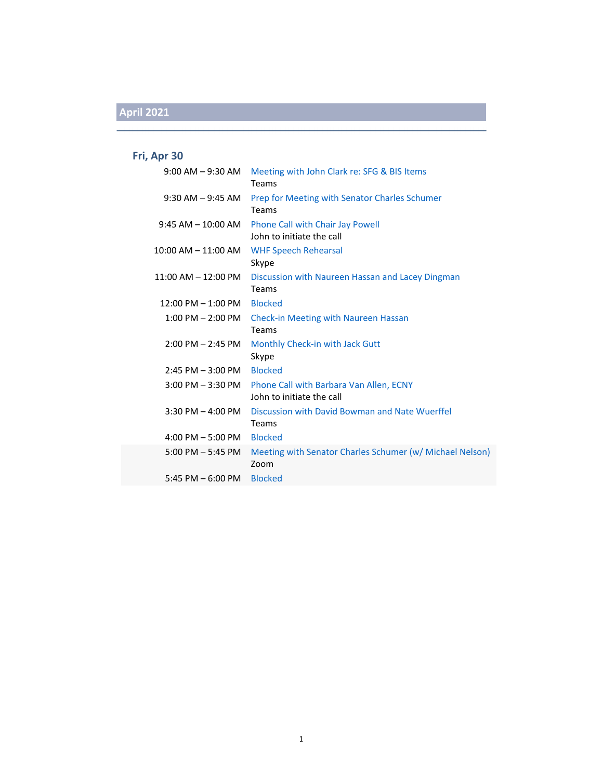### **Fri, Apr 30**

| $9:00$ AM $-9:30$ AM    | Meeting with John Clark re: SFG & BIS Items<br>Teams                                   |
|-------------------------|----------------------------------------------------------------------------------------|
| $9:30$ AM $-9:45$ AM    | Prep for Meeting with Senator Charles Schumer<br>Teams                                 |
| $9:45$ AM $-$ 10:00 AM  | Phone Call with Chair Jay Powell<br>John to initiate the call                          |
| $10:00$ AM $- 11:00$ AM | <b>WHF Speech Rehearsal</b><br>Skype                                                   |
| 11:00 AM - 12:00 PM     | Discussion with Naureen Hassan and Lacey Dingman<br>Teams                              |
| $12:00$ PM $- 1:00$ PM  | <b>Blocked</b>                                                                         |
|                         | 1:00 PM – 2:00 PM Check-in Meeting with Naureen Hassan                                 |
|                         | Teams                                                                                  |
| $2:00$ PM $- 2:45$ PM   | Monthly Check-in with Jack Gutt<br>Skype                                               |
| $2:45$ PM $-3:00$ PM    | <b>Blocked</b>                                                                         |
|                         | 3:00 PM - 3:30 PM Phone Call with Barbara Van Allen, ECNY<br>John to initiate the call |
| $3:30$ PM $-$ 4:00 PM   | Discussion with David Bowman and Nate Wuerffel<br>Teams                                |
| 4:00 PM $-5:00$ PM      | <b>Blocked</b>                                                                         |
| $5:00$ PM $-5:45$ PM    | Meeting with Senator Charles Schumer (w/ Michael Nelson)<br>Zoom                       |
| $5:45$ PM $-6:00$ PM    | <b>Blocked</b>                                                                         |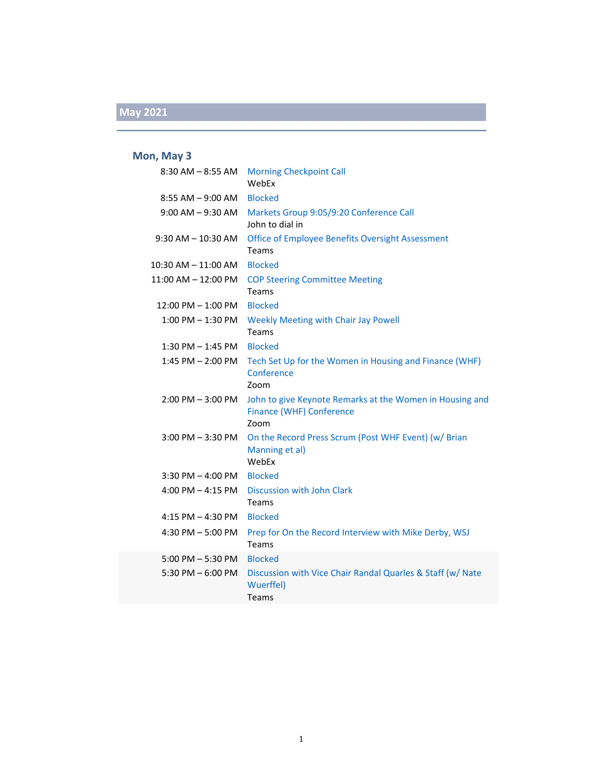### **Mon, May 3**

| $8:30$ AM $-8:55$ AM    | <b>Morning Checkpoint Call</b><br>WebEx                                                      |
|-------------------------|----------------------------------------------------------------------------------------------|
| $8:55$ AM $-9:00$ AM    | <b>Blocked</b>                                                                               |
| $9:00$ AM $-9:30$ AM    | Markets Group 9:05/9:20 Conference Call<br>John to dial in                                   |
| $9:30$ AM $- 10:30$ AM  | Office of Employee Benefits Oversight Assessment<br>Teams                                    |
| 10:30 AM - 11:00 AM     | <b>Blocked</b>                                                                               |
| $11:00$ AM $- 12:00$ PM | <b>COP Steering Committee Meeting</b><br>Teams                                               |
| 12:00 PM - 1:00 PM      | <b>Blocked</b>                                                                               |
| $1:00$ PM $-1:30$ PM    | <b>Weekly Meeting with Chair Jay Powell</b><br>Teams                                         |
| $1:30$ PM $-1:45$ PM    | <b>Blocked</b>                                                                               |
| 1:45 PM - 2:00 PM       | Tech Set Up for the Women in Housing and Finance (WHF)<br>Conference<br>Zoom                 |
| $2:00$ PM $-3:00$ PM    | John to give Keynote Remarks at the Women in Housing and<br>Finance (WHF) Conference<br>Zoom |
| $3:00$ PM $-3:30$ PM    | On the Record Press Scrum (Post WHF Event) (w/ Brian<br>Manning et al)<br>WebEx              |
| $3:30$ PM $-$ 4:00 PM   | <b>Blocked</b>                                                                               |
| 4:00 PM $-$ 4:15 PM     | Discussion with John Clark<br>Teams                                                          |
| $4:15$ PM $- 4:30$ PM   | <b>Blocked</b>                                                                               |
| 4:30 PM - 5:00 PM       | Prep for On the Record Interview with Mike Derby, WSJ<br>Teams                               |
| $5:00$ PM $-5:30$ PM    | <b>Blocked</b>                                                                               |
| 5:30 PM $-6:00$ PM      | Discussion with Vice Chair Randal Quarles & Staff (w/ Nate<br>Wuerffel)<br><b>Teams</b>      |
|                         |                                                                                              |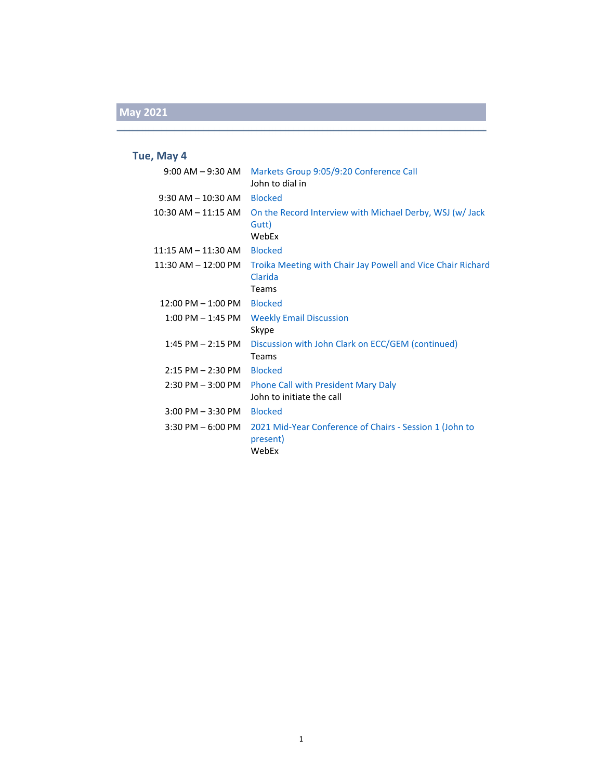#### **Tue, May 4**

|                                             | 9:00 AM - 9:30 AM Markets Group 9:05/9:20 Conference Call<br>John to dial in           |
|---------------------------------------------|----------------------------------------------------------------------------------------|
| 9:30 AM – 10:30 AM                          | <b>Blocked</b>                                                                         |
| 10:30 AM – 11:15 AM                         | On the Record Interview with Michael Derby, WSJ (w/Jack)<br>Gutt)<br>WebEx             |
| 11:15 AM – 11:30 AM                         | <b>Blocked</b>                                                                         |
| $11:30$ AM $- 12:00$ PM                     | Troika Meeting with Chair Jay Powell and Vice Chair Richard<br>Clarida<br><b>Teams</b> |
| 12:00 PM – 1:00 PM                          | <b>Blocked</b>                                                                         |
| $1:00 \; \mathsf{PM} - 1:45 \; \mathsf{PM}$ | <b>Weekly Email Discussion</b><br>Skype                                                |
| $1:45$ PM $- 2:15$ PM                       | Discussion with John Clark on ECC/GEM (continued)<br>Teams                             |
| $2:15$ PM $- 2:30$ PM                       | <b>Blocked</b>                                                                         |
| $2:30$ PM $-3:00$ PM                        | <b>Phone Call with President Mary Daly</b><br>John to initiate the call                |
| $3:00$ PM $-3:30$ PM                        | <b>Blocked</b>                                                                         |
| $3:30$ PM $-6:00$ PM                        | 2021 Mid-Year Conference of Chairs - Session 1 (John to<br>present)<br>WebEx           |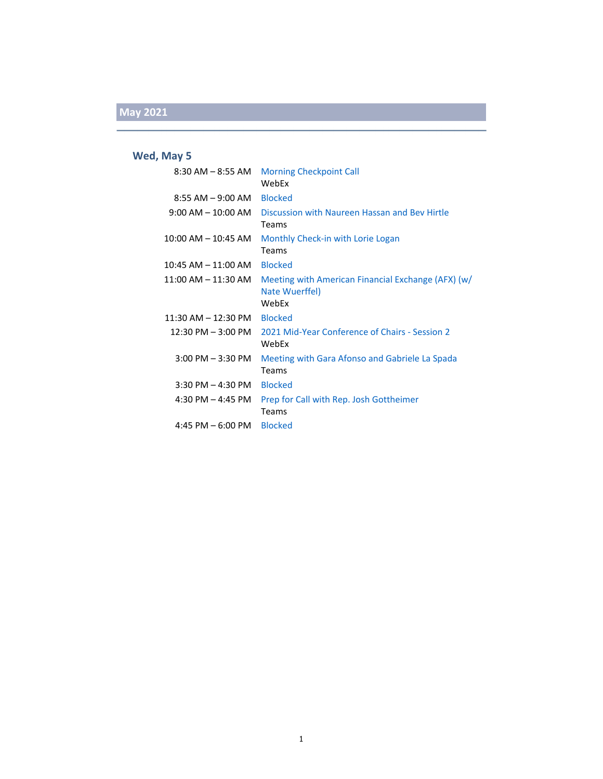### **Wed, May 5**

| $8:30$ AM $-$ 8:55 AM   | <b>Morning Checkpoint Call</b><br>WebEx                                       |
|-------------------------|-------------------------------------------------------------------------------|
| $8:55$ AM $-9:00$ AM    | <b>Blocked</b>                                                                |
| $9:00$ AM $-$ 10:00 AM  | Discussion with Naureen Hassan and Bey Hirtle<br>Teams                        |
| $10:00$ AM $- 10:45$ AM | Monthly Check-in with Lorie Logan<br>Teams                                    |
| 10:45 AM - 11:00 AM     | <b>Blocked</b>                                                                |
| $11:00$ AM $-11:30$ AM  | Meeting with American Financial Exchange (AFX) (w/<br>Nate Wuerffel)<br>WebFx |
| $11:30$ AM $- 12:30$ PM | <b>Blocked</b>                                                                |
| $12:30$ PM $-3:00$ PM   | 2021 Mid-Year Conference of Chairs - Session 2<br>WebEx                       |
| $3:00$ PM $-3:30$ PM    | Meeting with Gara Afonso and Gabriele La Spada<br>Teams                       |
| $3:30$ PM $-$ 4:30 PM   | <b>Blocked</b>                                                                |
| 4:30 PM $-$ 4:45 PM     | Prep for Call with Rep. Josh Gottheimer<br>Teams                              |
| 4:45 PM $-6:00$ PM      | <b>Blocked</b>                                                                |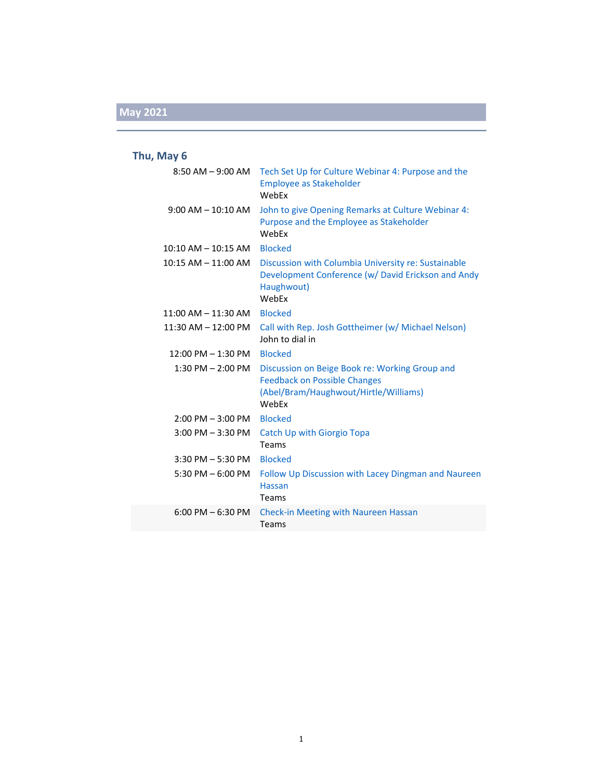### **Thu, May 6**

| $8:50$ AM $-9:00$ AM    | Tech Set Up for Culture Webinar 4: Purpose and the<br><b>Employee as Stakeholder</b><br>WebEx                                           |
|-------------------------|-----------------------------------------------------------------------------------------------------------------------------------------|
| $9:00$ AM $-10:10$ AM   | John to give Opening Remarks at Culture Webinar 4:<br>Purpose and the Employee as Stakeholder<br>WebFx                                  |
| $10:10$ AM $ 10:15$ AM  | <b>Blocked</b>                                                                                                                          |
| $10:15$ AM $- 11:00$ AM | Discussion with Columbia University re: Sustainable<br>Development Conference (w/ David Erickson and Andy<br>Haughwout)<br>WebEx        |
| $11:00$ AM $- 11:30$ AM | <b>Blocked</b>                                                                                                                          |
| $11:30$ AM $- 12:00$ PM | Call with Rep. Josh Gottheimer (w/ Michael Nelson)<br>John to dial in                                                                   |
| $12:00$ PM $- 1:30$ PM  | <b>Blocked</b>                                                                                                                          |
| $1:30$ PM $- 2:00$ PM   | Discussion on Beige Book re: Working Group and<br><b>Feedback on Possible Changes</b><br>(Abel/Bram/Haughwout/Hirtle/Williams)<br>WebEx |
| $2:00$ PM $-3:00$ PM    | <b>Blocked</b>                                                                                                                          |
| $3:00$ PM $-3:30$ PM    | <b>Catch Up with Giorgio Topa</b><br>Teams                                                                                              |
| $3:30$ PM $-5:30$ PM    | <b>Blocked</b>                                                                                                                          |
| 5:30 PM $-$ 6:00 PM     | Follow Up Discussion with Lacey Dingman and Naureen<br><b>Hassan</b><br>Teams                                                           |
| $6:00$ PM $-6:30$ PM    | <b>Check-in Meeting with Naureen Hassan</b><br><b>Teams</b>                                                                             |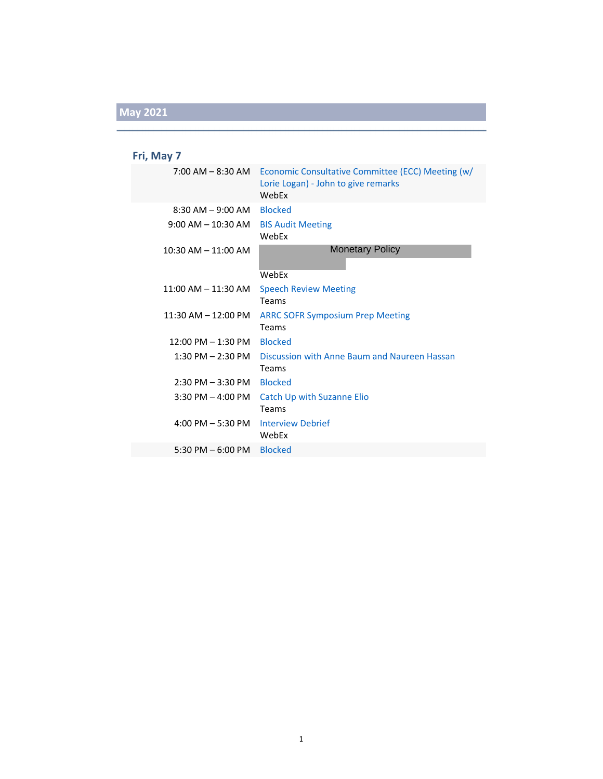### **Fri, May 7**

|                                      | 7:00 AM – 8:30 AM Economic Consultative Committee (ECC) Meeting (w/<br>Lorie Logan) - John to give remarks<br>WebEx |
|--------------------------------------|---------------------------------------------------------------------------------------------------------------------|
| $8:30$ AM $-9:00$ AM                 | <b>Blocked</b>                                                                                                      |
| $9:00$ AM $-10:30$ AM                | <b>BIS Audit Meeting</b><br>WebEx                                                                                   |
| $10:30$ AM $- 11:00$ AM              | <b>Monetary Policy</b>                                                                                              |
|                                      | WebEx                                                                                                               |
| $11:00$ AM $- 11:30$ AM              | <b>Speech Review Meeting</b>                                                                                        |
|                                      | <b>Teams</b>                                                                                                        |
| $11:30$ AM $- 12:00$ PM              | <b>ARRC SOFR Symposium Prep Meeting</b>                                                                             |
|                                      | <b>Teams</b>                                                                                                        |
| $12:00 \text{ PM} - 1:30 \text{ PM}$ | <b>Blocked</b>                                                                                                      |
| 1:30 PM – 2:30 PM                    | Discussion with Anne Baum and Naureen Hassan                                                                        |
|                                      | <b>Teams</b>                                                                                                        |
| $2:30$ PM $-3:30$ PM                 | <b>Blocked</b>                                                                                                      |
| $3:30$ PM $-$ 4:00 PM                | <b>Catch Up with Suzanne Elio</b>                                                                                   |
|                                      | Teams                                                                                                               |
| $4:00$ PM $-5:30$ PM                 | <b>Interview Debrief</b>                                                                                            |
|                                      | WebEx                                                                                                               |
| 5:30 PM $-$ 6:00 PM                  | <b>Blocked</b>                                                                                                      |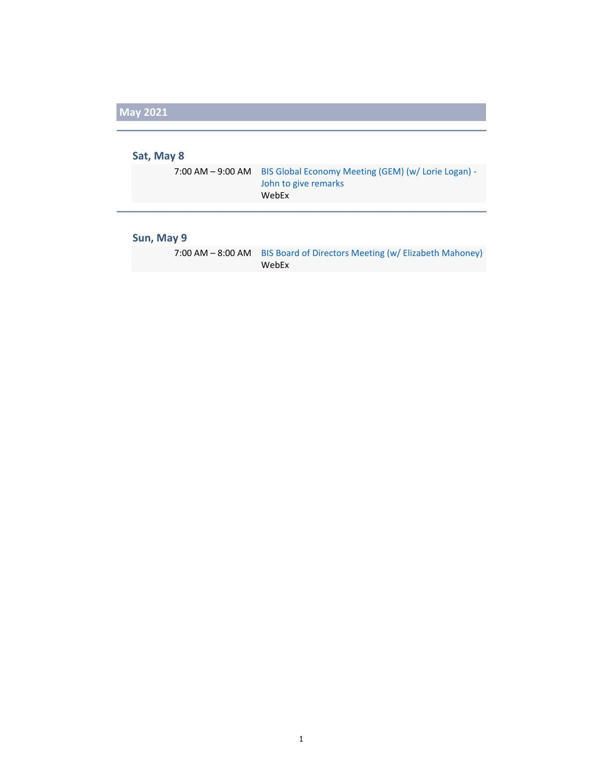#### **Sat, May 8**

| 7:00 AM - 9:00 AM BIS Global Economy Meeting (GEM) (w/Lorie Logan) - |
|----------------------------------------------------------------------|
| John to give remarks                                                 |
| WebEx                                                                |

### **Sun, May 9**

| 7:00 AM - 8:00 AM BIS Board of Directors Meeting (w/ Elizabeth Mahoney) |
|-------------------------------------------------------------------------|
| WebEx                                                                   |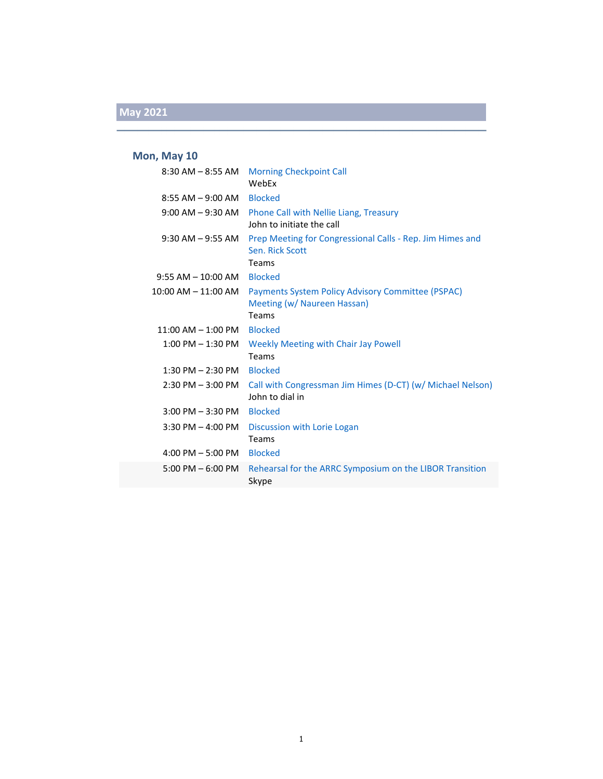#### **Mon, May 10**

|                            | 8:30 AM - 8:55 AM Morning Checkpoint Call<br>WebEx                                      |
|----------------------------|-----------------------------------------------------------------------------------------|
| 8:55 AM – 9:00 AM          | <b>Blocked</b>                                                                          |
|                            | 9:00 AM - 9:30 AM Phone Call with Nellie Liang, Treasury<br>John to initiate the call   |
| $9:30$ AM $-9:55$ AM       | Prep Meeting for Congressional Calls - Rep. Jim Himes and<br>Sen. Rick Scott            |
|                            | Teams                                                                                   |
| 9:55 AM - 10:00 AM Blocked |                                                                                         |
| 10:00 AM – 11:00 AM        | <b>Payments System Policy Advisory Committee (PSPAC)</b><br>Meeting (w/ Naureen Hassan) |
|                            | Teams                                                                                   |
| $11:00$ AM $- 1:00$ PM     | <b>Blocked</b>                                                                          |
| $1:00$ PM $-1:30$ PM       | Weekly Meeting with Chair Jay Powell<br>Teams                                           |
| $1:30$ PM $- 2:30$ PM      | Blocked                                                                                 |
| 2:30 PM - 3:00 PM          | Call with Congressman Jim Himes (D-CT) (w/ Michael Nelson)<br>John to dial in           |
| $3:00$ PM $-3:30$ PM       | <b>Blocked</b>                                                                          |
| $3:30$ PM $-$ 4:00 PM      | Discussion with Lorie Logan<br>Teams                                                    |
| $4:00$ PM $-5:00$ PM       | <b>Blocked</b>                                                                          |
| $5:00$ PM $-6:00$ PM       | Rehearsal for the ARRC Symposium on the LIBOR Transition<br>Skype                       |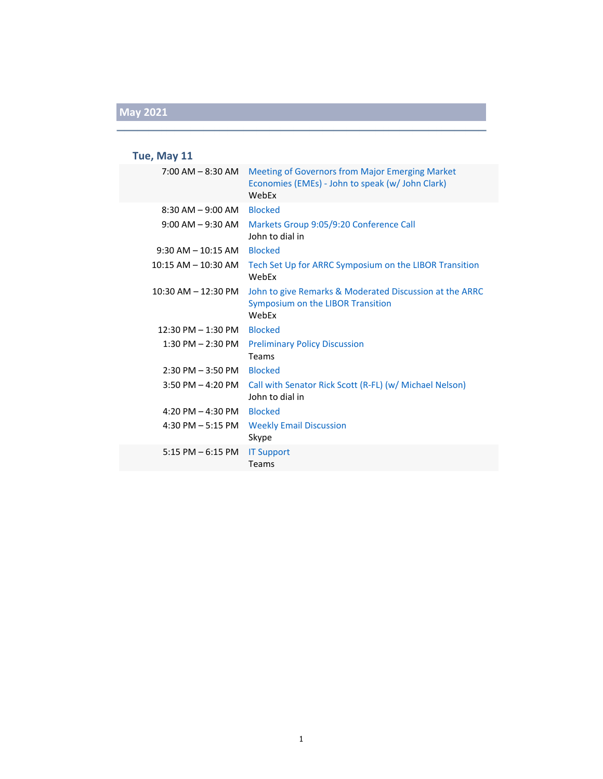### **Tue, May 11**

| 7:00 AM - 8:30 AM       | <b>Meeting of Governors from Major Emerging Market</b><br>Economies (EMEs) - John to speak (w/ John Clark)<br>WebEx |
|-------------------------|---------------------------------------------------------------------------------------------------------------------|
| $8:30$ AM $-9:00$ AM    | <b>Blocked</b>                                                                                                      |
| $9:00$ AM $-9:30$ AM    | Markets Group 9:05/9:20 Conference Call<br>John to dial in                                                          |
| $9:30$ AM $-10:15$ AM   | <b>Blocked</b>                                                                                                      |
| $10:15$ AM $- 10:30$ AM | Tech Set Up for ARRC Symposium on the LIBOR Transition<br>WebEx                                                     |
| $10:30$ AM $- 12:30$ PM | John to give Remarks & Moderated Discussion at the ARRC<br>Symposium on the LIBOR Transition<br>WebEx               |
| $12:30$ PM $- 1:30$ PM  | <b>Blocked</b>                                                                                                      |
| $1:30$ PM $- 2:30$ PM   | <b>Preliminary Policy Discussion</b><br>Teams                                                                       |
| $2:30$ PM $-3:50$ PM    | <b>Blocked</b>                                                                                                      |
| $3:50$ PM $- 4:20$ PM   | Call with Senator Rick Scott (R-FL) (w/ Michael Nelson)<br>John to dial in                                          |
| 4:20 PM $-$ 4:30 PM     | <b>Blocked</b>                                                                                                      |
| 4:30 PM $-$ 5:15 PM     | <b>Weekly Email Discussion</b><br>Skype                                                                             |
| $5:15$ PM $-6:15$ PM    | <b>IT Support</b><br>Teams                                                                                          |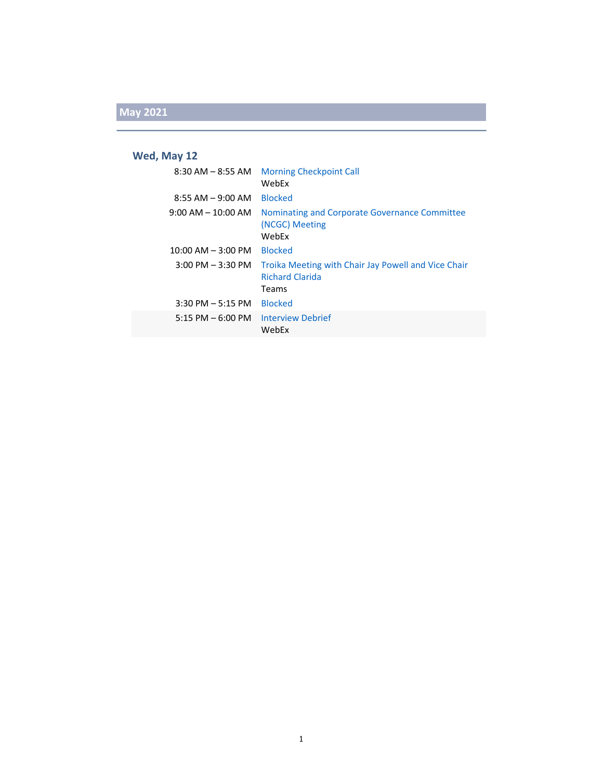### **Wed, May 12**

| 8:30 AM – 8:55 AM                   | <b>Morning Checkpoint Call</b><br>WebFx                                                |
|-------------------------------------|----------------------------------------------------------------------------------------|
| $8:55$ AM $-$ 9:00 AM               | <b>Blocked</b>                                                                         |
| $9:00$ AM $-$ 10:00 AM              | Nominating and Corporate Governance Committee<br>(NCGC) Meeting<br>WebEx               |
| $10:00$ AM $-$ 3:00 PM              | <b>Blocked</b>                                                                         |
| $3:00 \text{ PM} - 3:30 \text{ PM}$ | Troika Meeting with Chair Jay Powell and Vice Chair<br><b>Richard Clarida</b><br>Teams |
| $3:30$ PM $-5:15$ PM                | <b>Blocked</b>                                                                         |
| $5:15$ PM $-6:00$ PM                | <b>Interview Debrief</b><br>WebEx                                                      |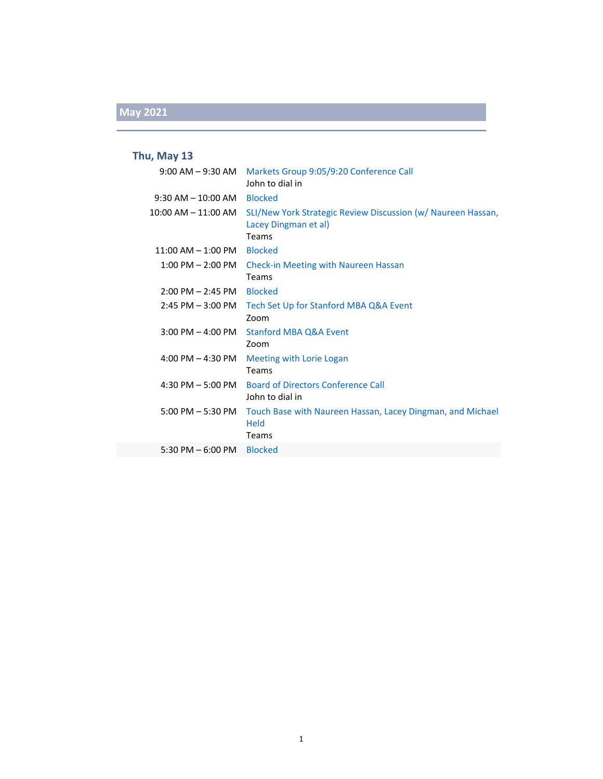#### **Thu, May 13**

|                         | 9:00 AM - 9:30 AM    Markets Group 9:05/9:20 Conference Call<br>John to dial in               |
|-------------------------|-----------------------------------------------------------------------------------------------|
| $9:30$ AM $-10:00$ AM   | <b>Blocked</b>                                                                                |
| $10:00$ AM $- 11:00$ AM | SLI/New York Strategic Review Discussion (w/ Naureen Hassan,<br>Lacey Dingman et al)<br>Teams |
| $11:00$ AM $-1:00$ PM   | <b>Blocked</b>                                                                                |
| $1:00$ PM $- 2:00$ PM   | <b>Check-in Meeting with Naureen Hassan</b><br>Teams                                          |
| $2:00$ PM $- 2:45$ PM   | <b>Blocked</b>                                                                                |
| $2:45$ PM $-3:00$ PM    | Tech Set Up for Stanford MBA Q&A Event<br>Zoom                                                |
| $3:00$ PM $-$ 4:00 PM   | <b>Stanford MBA Q&amp;A Event</b><br>Zoom                                                     |
| 4:00 PM $-$ 4:30 PM     | Meeting with Lorie Logan<br>Teams                                                             |
| 4:30 PM $-$ 5:00 PM     | <b>Board of Directors Conference Call</b><br>John to dial in                                  |
| $5:00$ PM $-5:30$ PM    | Touch Base with Naureen Hassan, Lacey Dingman, and Michael<br><b>Held</b><br>Teams            |
| 5:30 PM $-$ 6:00 PM     | <b>Blocked</b>                                                                                |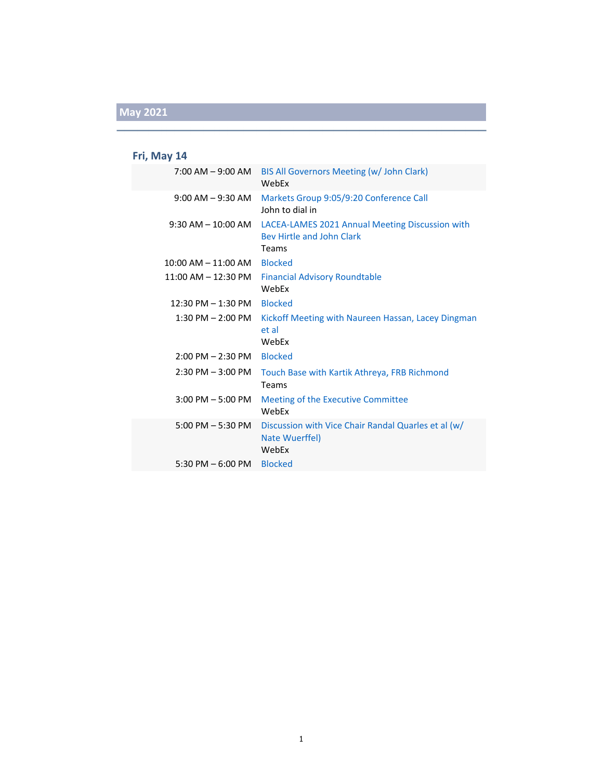### **Fri, May 14**

| 7:00 AM – 9:00 AM                   | BIS All Governors Meeting (w/ John Clark)<br>WebFx                                           |
|-------------------------------------|----------------------------------------------------------------------------------------------|
| $9:00$ AM $-9:30$ AM                | Markets Group 9:05/9:20 Conference Call<br>John to dial in                                   |
| $9:30$ AM $-10:00$ AM               | LACEA-LAMES 2021 Annual Meeting Discussion with<br><b>Bey Hirtle and John Clark</b><br>Teams |
| $10:00$ AM $- 11:00$ AM             | <b>Blocked</b>                                                                               |
| 11:00 AM - 12:30 PM                 | <b>Financial Advisory Roundtable</b><br>WebEx                                                |
| 12:30 PM - 1:30 PM                  | <b>Blocked</b>                                                                               |
| $1:30$ PM $- 2:00$ PM               | Kickoff Meeting with Naureen Hassan, Lacey Dingman<br>et al<br>WebEx                         |
| $2:00$ PM $- 2:30$ PM               | <b>Blocked</b>                                                                               |
| $2:30$ PM $-3:00$ PM                | Touch Base with Kartik Athreya, FRB Richmond<br>Teams                                        |
| $3:00$ PM $-5:00$ PM                | Meeting of the Executive Committee<br>WebEx                                                  |
| $5:00 \text{ PM} - 5:30 \text{ PM}$ | Discussion with Vice Chair Randal Quarles et al (w/<br>Nate Wuerffel)<br>WebEx               |
| 5:30 PM $-$ 6:00 PM                 | <b>Blocked</b>                                                                               |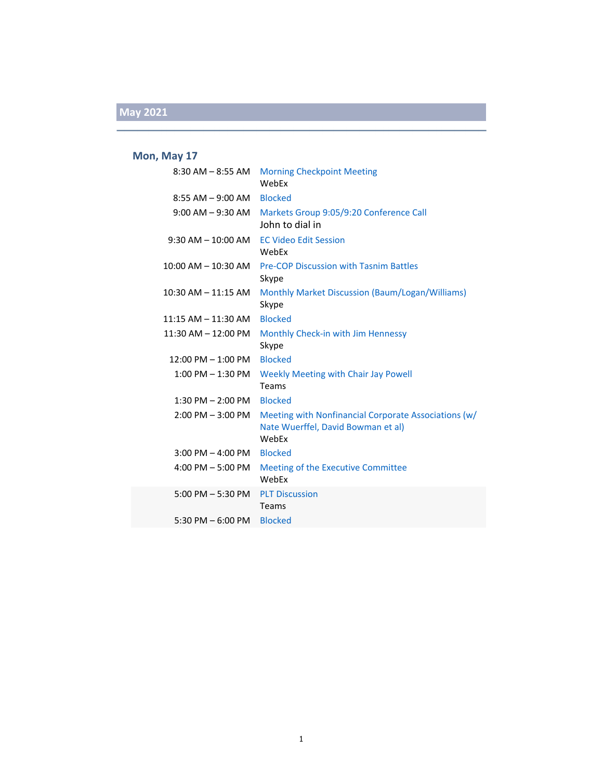#### **Mon, May 17**

| $8:30$ AM $-8:55$ AM    | <b>Morning Checkpoint Meeting</b><br>WebEx                                                          |
|-------------------------|-----------------------------------------------------------------------------------------------------|
| $8:55$ AM $-9:00$ AM    | <b>Blocked</b>                                                                                      |
| $9:00$ AM $-9:30$ AM    | Markets Group 9:05/9:20 Conference Call<br>John to dial in                                          |
| $9:30$ AM $- 10:00$ AM  | <b>EC Video Edit Session</b><br>WebEx                                                               |
| $10:00$ AM $-$ 10:30 AM | <b>Pre-COP Discussion with Tasnim Battles</b><br>Skype                                              |
| $10:30$ AM $- 11:15$ AM | Monthly Market Discussion (Baum/Logan/Williams)<br>Skype                                            |
| 11:15 AM - 11:30 AM     | <b>Blocked</b>                                                                                      |
| $11:30$ AM $- 12:00$ PM | Monthly Check-in with Jim Hennessy<br>Skype                                                         |
| $12:00$ PM $- 1:00$ PM  | <b>Blocked</b>                                                                                      |
| $1:00$ PM $- 1:30$ PM   | Weekly Meeting with Chair Jay Powell<br>Teams                                                       |
| $1:30$ PM $- 2:00$ PM   | <b>Blocked</b>                                                                                      |
| 2:00 PM - 3:00 PM       | Meeting with Nonfinancial Corporate Associations (w/<br>Nate Wuerffel, David Bowman et al)<br>WebEx |
| $3:00$ PM $-$ 4:00 PM   | <b>Blocked</b>                                                                                      |
| $4:00$ PM $-5:00$ PM    | Meeting of the Executive Committee<br>WebEx                                                         |
| $5:00$ PM $-5:30$ PM    | <b>PLT Discussion</b><br>Teams                                                                      |
| 5:30 PM $-$ 6:00 PM     | <b>Blocked</b>                                                                                      |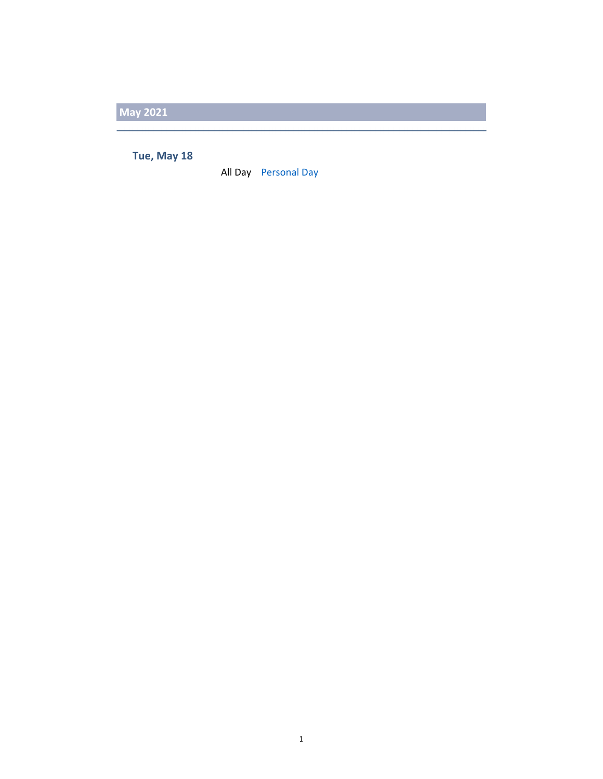**Tue, May 18**

All Day Personal Day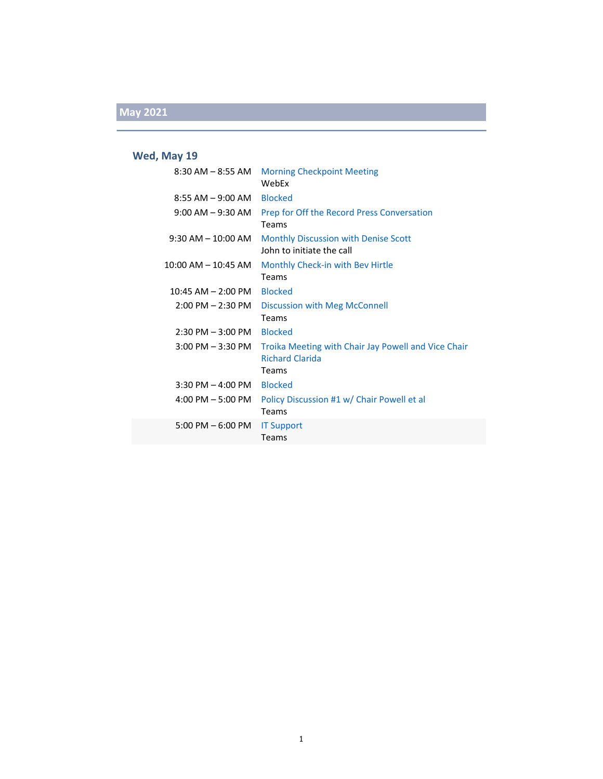### **Wed, May 19**

| $8:30$ AM $-8:55$ AM                | <b>Morning Checkpoint Meeting</b><br>WebEx                                             |
|-------------------------------------|----------------------------------------------------------------------------------------|
| 8:55 AM – 9:00 AM                   | <b>Blocked</b>                                                                         |
| $9:00$ AM $-9:30$ AM                | Prep for Off the Record Press Conversation<br>Teams                                    |
| $9:30$ AM $-$ 10:00 AM              | <b>Monthly Discussion with Denise Scott</b><br>John to initiate the call               |
| 10:00 AM – 10:45 AM                 | Monthly Check-in with Bev Hirtle<br>Teams                                              |
| $10:45$ AM $- 2:00$ PM              | <b>Blocked</b>                                                                         |
| $2:00$ PM $- 2:30$ PM               | Discussion with Meg McConnell<br>Teams                                                 |
| $2:30$ PM $-3:00$ PM                | <b>Blocked</b>                                                                         |
| $3:00$ PM $-3:30$ PM                | Troika Meeting with Chair Jay Powell and Vice Chair<br><b>Richard Clarida</b><br>Teams |
| $3:30$ PM $-$ 4:00 PM               | <b>Blocked</b>                                                                         |
| $4:00$ PM $-5:00$ PM                | Policy Discussion #1 w/ Chair Powell et al<br>Teams                                    |
| $5:00 \text{ PM} - 6:00 \text{ PM}$ | <b>IT Support</b><br>Teams                                                             |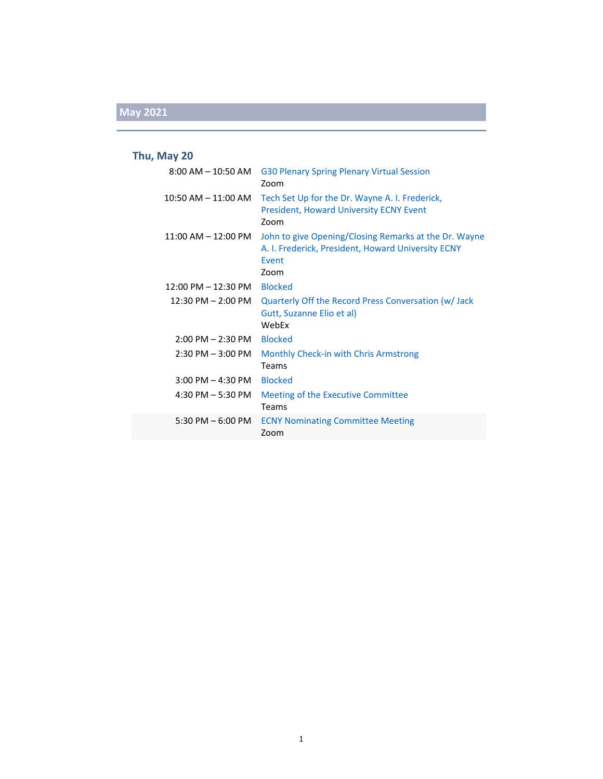### **Thu, May 20**

| $8:00$ AM $-$ 10:50 AM                | G30 Plenary Spring Plenary Virtual Session<br>Zoom                                                                                  |
|---------------------------------------|-------------------------------------------------------------------------------------------------------------------------------------|
| $10:50$ AM $- 11:00$ AM               | Tech Set Up for the Dr. Wayne A. I. Frederick,<br><b>President, Howard University ECNY Event</b><br>Zoom                            |
| $11:00$ AM $-12:00$ PM                | John to give Opening/Closing Remarks at the Dr. Wayne<br>A. I. Frederick, President, Howard University ECNY<br><b>Fvent</b><br>Zoom |
| $12:00 \text{ PM} - 12:30 \text{ PM}$ | <b>Blocked</b>                                                                                                                      |
| $12:30 \text{ PM} - 2:00 \text{ PM}$  | Quarterly Off the Record Press Conversation (w/ Jack<br>Gutt, Suzanne Elio et al)<br>WebEx                                          |
| 2:00 PM - 2:30 PM                     | <b>Blocked</b>                                                                                                                      |
| $2:30$ PM $-3:00$ PM                  | Monthly Check-in with Chris Armstrong<br>Teams                                                                                      |
| $3:00$ PM $-$ 4:30 PM                 | <b>Blocked</b>                                                                                                                      |
| 4:30 PM $-$ 5:30 PM                   | Meeting of the Executive Committee<br>Teams                                                                                         |
| 5:30 PM $-$ 6:00 PM                   | <b>ECNY Nominating Committee Meeting</b><br>Zoom                                                                                    |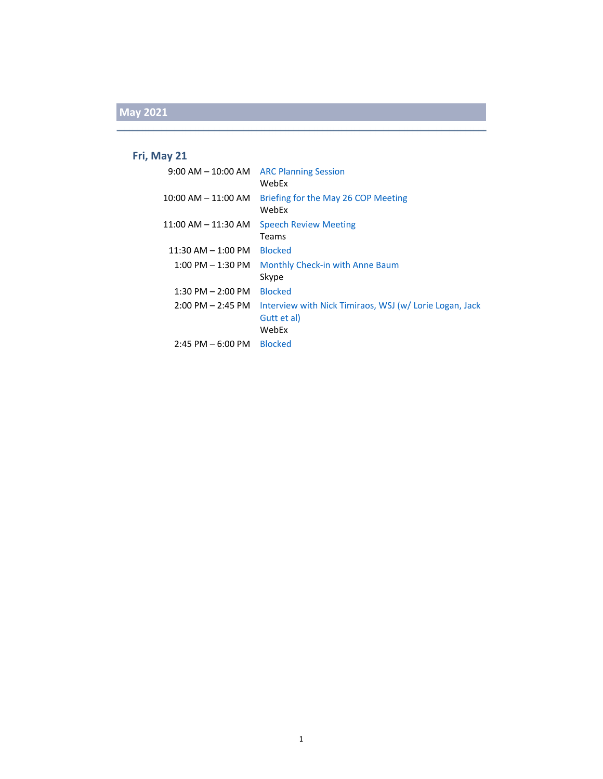#### **Fri, May 21**

| $9:00$ AM $-$ 10:00 AM  | <b>ARC Planning Session</b><br>WebEx                                           |
|-------------------------|--------------------------------------------------------------------------------|
| $10:00$ AM $-$ 11:00 AM | Briefing for the May 26 COP Meeting<br>WebEx                                   |
| $11:00$ AM $-11:30$ AM  | <b>Speech Review Meeting</b><br>Teams                                          |
| $11:30$ AM $-1:00$ PM   | <b>Blocked</b>                                                                 |
| $1:00$ PM $-1:30$ PM    | Monthly Check-in with Anne Baum<br>Skype                                       |
| $1:30$ PM $- 2:00$ PM   | <b>Blocked</b>                                                                 |
| $2:00$ PM $- 2:45$ PM   | Interview with Nick Timiraos, WSJ (w/Lorie Logan, Jack<br>Gutt et al)<br>WebEx |
| $2:45$ PM $-6:00$ PM    | <b>Blocked</b>                                                                 |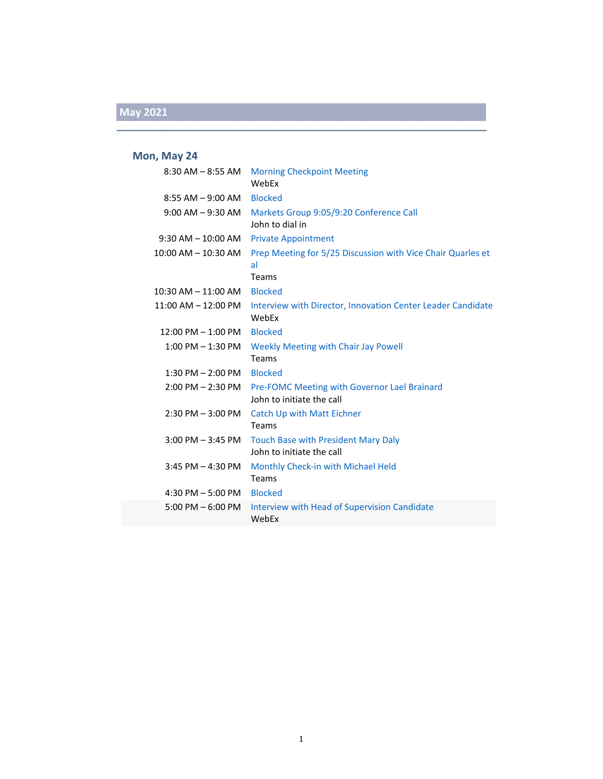#### **Mon, May 24**

| $8:30$ AM $-8:55$ AM      | <b>Morning Checkpoint Meeting</b><br>WebEx                                                  |
|---------------------------|---------------------------------------------------------------------------------------------|
| $8:55$ AM $-9:00$ AM      | <b>Blocked</b>                                                                              |
| $9:00$ AM $-9:30$ AM      | Markets Group 9:05/9:20 Conference Call<br>John to dial in                                  |
| $9:30$ AM $- 10:00$ AM    | <b>Private Appointment</b>                                                                  |
| 10:00 AM - 10:30 AM       | Prep Meeting for 5/25 Discussion with Vice Chair Quarles et<br>al                           |
|                           | Teams                                                                                       |
| 10:30 AM - 11:00 AM       | <b>Blocked</b>                                                                              |
| $11:00$ AM $- 12:00$ PM   | Interview with Director, Innovation Center Leader Candidate<br>WebEx                        |
| 12:00 PM - 1:00 PM        | <b>Blocked</b>                                                                              |
|                           | 1:00 PM – 1:30 PM Weekly Meeting with Chair Jay Powell<br>Teams                             |
| 1:30 PM - 2:00 PM Blocked |                                                                                             |
|                           | 2:00 PM - 2:30 PM Pre-FOMC Meeting with Governor Lael Brainard<br>John to initiate the call |
| $2:30$ PM $-3:00$ PM      | <b>Catch Up with Matt Eichner</b><br>Teams                                                  |
| $3:00$ PM $-3:45$ PM      | Touch Base with President Mary Daly<br>John to initiate the call                            |
| $3:45$ PM $-4:30$ PM      | Monthly Check-in with Michael Held<br>Teams                                                 |
| 4:30 PM - 5:00 PM Blocked |                                                                                             |
| $5:00$ PM $-6:00$ PM      | Interview with Head of Supervision Candidate<br>WebEx                                       |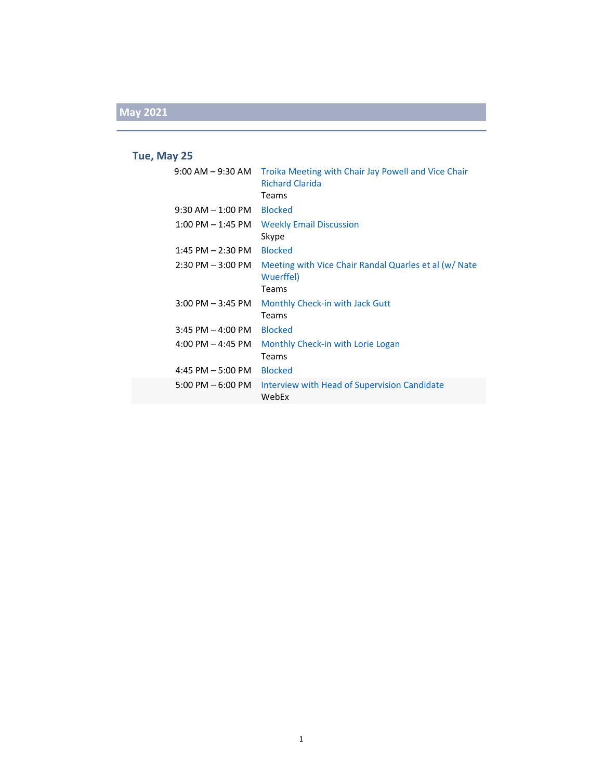#### **Tue, May 25**

| $9:00$ AM $-9:30$ AM                | Troika Meeting with Chair Jay Powell and Vice Chair<br><b>Richard Clarida</b> |
|-------------------------------------|-------------------------------------------------------------------------------|
|                                     | Teams                                                                         |
| $9:30$ AM $-1:00$ PM                | <b>Blocked</b>                                                                |
| $1:00$ PM $-1:45$ PM                | <b>Weekly Email Discussion</b><br>Skype                                       |
| $1:45$ PM $- 2:30$ PM               | <b>Blocked</b>                                                                |
| $2:30$ PM $-3:00$ PM                | Meeting with Vice Chair Randal Quarles et al (w/ Nate<br>Wuerffel)<br>Teams   |
| $3:00$ PM $-3:45$ PM                | Monthly Check-in with Jack Gutt<br>Teams                                      |
| $3:45$ PM $-$ 4:00 PM               | <b>Blocked</b>                                                                |
| $4:00$ PM $-4:45$ PM                | Monthly Check-in with Lorie Logan<br>Teams                                    |
| 4:45 PM $-5:00$ PM                  | <b>Blocked</b>                                                                |
| $5:00 \text{ PM} - 6:00 \text{ PM}$ | Interview with Head of Supervision Candidate<br>WebEx                         |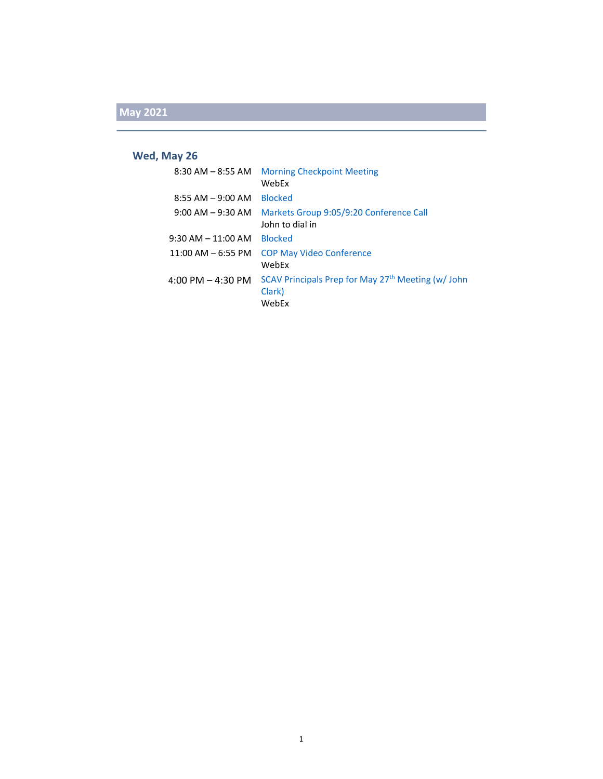#### **Wed, May 26**

| $8:30$ AM $-$ 8:55 AM               | <b>Morning Checkpoint Meeting</b><br>WebEx                            |
|-------------------------------------|-----------------------------------------------------------------------|
| $8:55$ AM $-9:00$ AM                | <b>Blocked</b>                                                        |
| $9:00$ AM $-9:30$ AM                | Markets Group 9:05/9:20 Conference Call<br>John to dial in            |
| $9:30$ AM $-$ 11:00 AM              | <b>Blocked</b>                                                        |
| $11:00$ AM $-$ 6:55 PM              | <b>COP May Video Conference</b><br>WebFx                              |
| $4:00 \text{ PM} - 4:30 \text{ PM}$ | SCAV Principals Prep for May 27th Meeting (w/ John<br>Clark)<br>WebEx |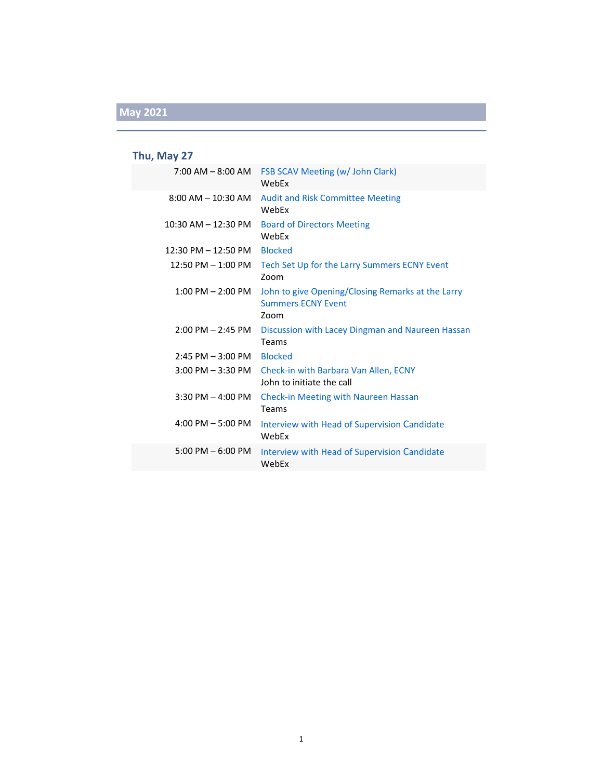### **Thu, May 27**

| $7:00$ AM $-$ 8:00 AM   | <b>FSB SCAV Meeting (w/ John Clark)</b><br>WebFx                                       |
|-------------------------|----------------------------------------------------------------------------------------|
| $8:00$ AM $-$ 10:30 AM  | <b>Audit and Risk Committee Meeting</b><br>WebFx                                       |
| $10:30$ AM $- 12:30$ PM | <b>Board of Directors Meeting</b><br>WebEx                                             |
| $12:30$ PM $- 12:50$ PM | <b>Blocked</b>                                                                         |
| $12:50$ PM $-1:00$ PM   | Tech Set Up for the Larry Summers ECNY Event<br>Zoom                                   |
| $1:00$ PM $- 2:00$ PM   | John to give Opening/Closing Remarks at the Larry<br><b>Summers ECNY Event</b><br>Zoom |
| $2:00$ PM $- 2:45$ PM   | Discussion with Lacey Dingman and Naureen Hassan<br>Teams                              |
| $2:45$ PM $-3:00$ PM    | <b>Blocked</b>                                                                         |
| $3:00$ PM $-3:30$ PM    | Check-in with Barbara Van Allen, ECNY<br>John to initiate the call                     |
| $3:30$ PM $-$ 4:00 PM   | <b>Check-in Meeting with Naureen Hassan</b><br>Teams                                   |
| $4:00$ PM $-5:00$ PM    | Interview with Head of Supervision Candidate<br>WebFx                                  |
| $5:00$ PM $-6:00$ PM    | <b>Interview with Head of Supervision Candidate</b><br>WebEx                           |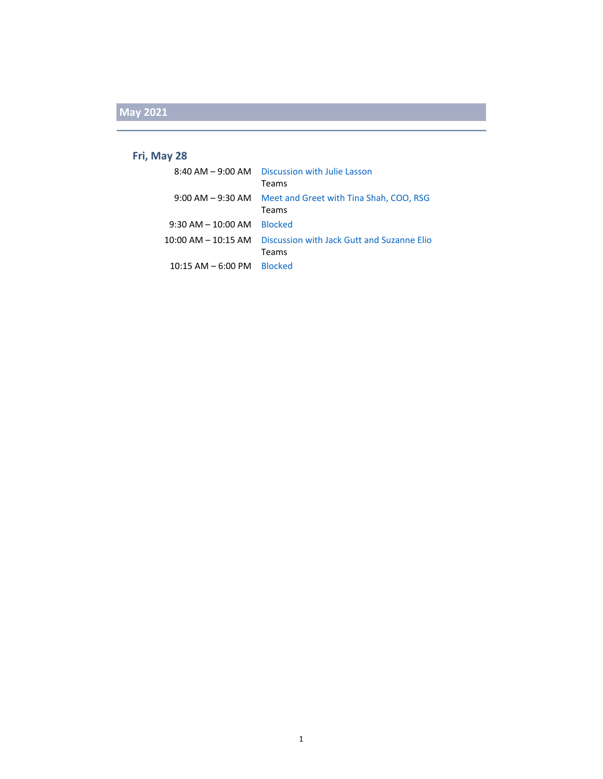#### **Fri, May 28**

|                        | 8:40 AM - 9:00 AM Discussion with Julie Lasson |
|------------------------|------------------------------------------------|
|                        | Teams                                          |
| $9:00$ AM $-9:30$ AM   | Meet and Greet with Tina Shah, COO, RSG        |
|                        | Teams                                          |
| $9:30$ AM $- 10:00$ AM | <b>Blocked</b>                                 |
| $10:00$ AM $ 10:15$ AM | Discussion with Jack Gutt and Suzanne Elio     |
|                        | Teams                                          |
| $10:15$ AM $-$ 6:00 PM | <b>Blocked</b>                                 |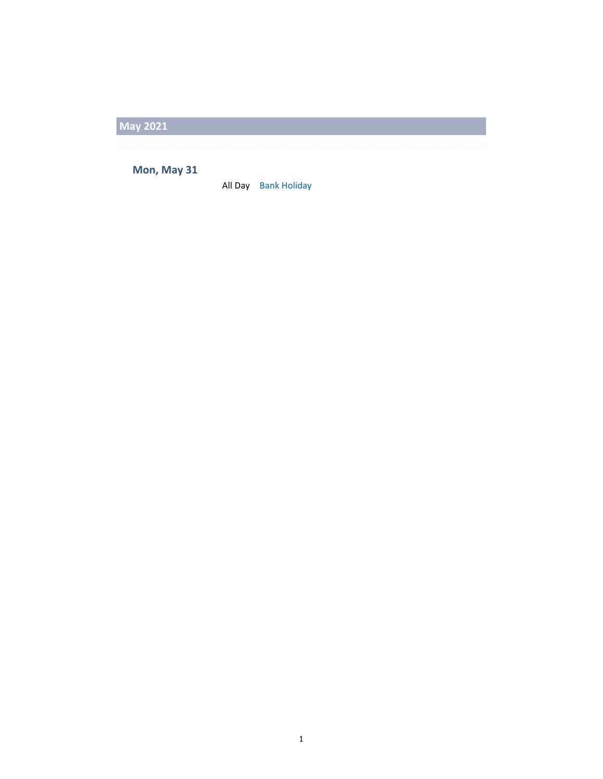**Mon, May 31**

All Day Bank Holiday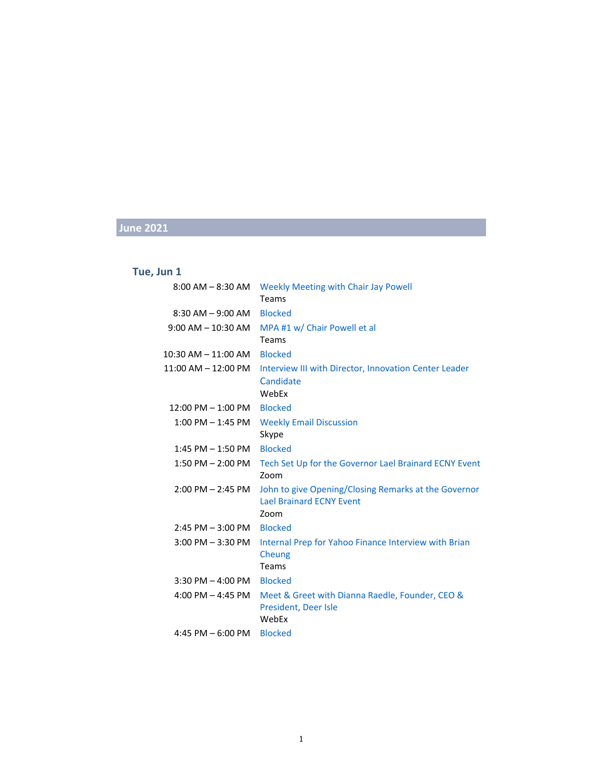#### **Tue, Jun 1**

| $8:00$ AM $-8:30$ AM    | Weekly Meeting with Chair Jay Powell<br>Teams                                                   |
|-------------------------|-------------------------------------------------------------------------------------------------|
| $8:30$ AM $-9:00$ AM    | <b>Blocked</b>                                                                                  |
| $9:00$ AM $- 10:30$ AM  | MPA #1 w/ Chair Powell et al<br>Teams                                                           |
| 10:30 AM – 11:00 AM     | <b>Blocked</b>                                                                                  |
| $11:00$ AM $- 12:00$ PM | Interview III with Director, Innovation Center Leader<br>Candidate<br>WebEx                     |
| $12:00$ PM $- 1:00$ PM  | <b>Blocked</b>                                                                                  |
| $1:00$ PM $-1:45$ PM    | <b>Weekly Email Discussion</b><br>Skype                                                         |
| $1:45$ PM $- 1:50$ PM   | <b>Blocked</b>                                                                                  |
| $1:50$ PM $- 2:00$ PM   | Tech Set Up for the Governor Lael Brainard ECNY Event<br>Zoom                                   |
| $2:00$ PM $- 2:45$ PM   | John to give Opening/Closing Remarks at the Governor<br><b>Lael Brainard ECNY Event</b><br>Zoom |
| $2:45$ PM $-3:00$ PM    | <b>Blocked</b>                                                                                  |
| 3:00 PM - 3:30 PM       | Internal Prep for Yahoo Finance Interview with Brian<br>Cheung<br>Teams                         |
| $3:30$ PM $-$ 4:00 PM   | <b>Blocked</b>                                                                                  |
| 4:00 PM $-$ 4:45 PM     | Meet & Greet with Dianna Raedle, Founder, CEO &<br>President, Deer Isle<br>WebEx                |
| 4:45 PM $-6:00$ PM      | <b>Blocked</b>                                                                                  |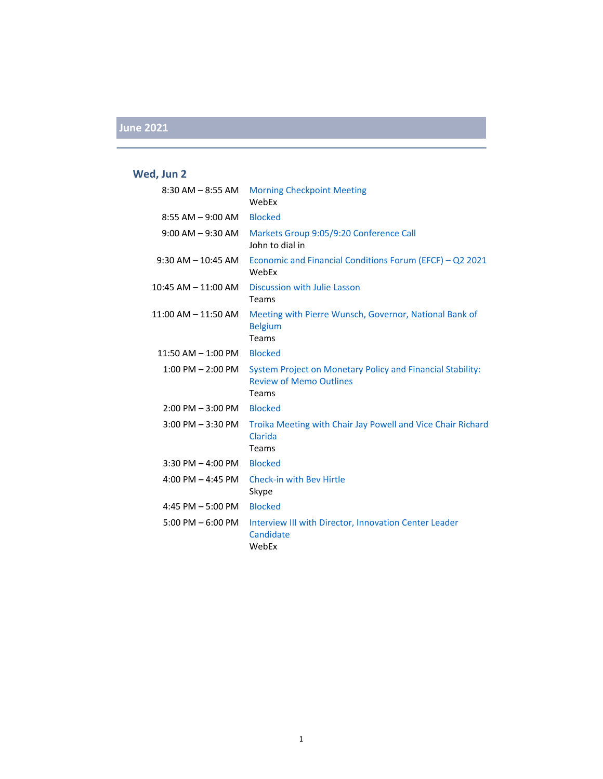### **Wed, Jun 2**

| $8:30$ AM $-8:55$ AM  | <b>Morning Checkpoint Meeting</b><br>WebEx                                                            |
|-----------------------|-------------------------------------------------------------------------------------------------------|
| $8:55$ AM $-9:00$ AM  | <b>Blocked</b>                                                                                        |
| $9:00$ AM $-9:30$ AM  | Markets Group 9:05/9:20 Conference Call<br>John to dial in                                            |
| $9:30$ AM $-10:45$ AM | Economic and Financial Conditions Forum (EFCF) - Q2 2021<br>WebEx                                     |
| 10:45 AM - 11:00 AM   | <b>Discussion with Julie Lasson</b><br>Teams                                                          |
| 11:00 AM - 11:50 AM   | Meeting with Pierre Wunsch, Governor, National Bank of<br><b>Belgium</b><br>Teams                     |
| 11:50 AM - 1:00 PM    | <b>Blocked</b>                                                                                        |
| $1:00$ PM $- 2:00$ PM | System Project on Monetary Policy and Financial Stability:<br><b>Review of Memo Outlines</b><br>Teams |
| $2:00$ PM $-3:00$ PM  | <b>Blocked</b>                                                                                        |
| $3:00$ PM $-3:30$ PM  | Troika Meeting with Chair Jay Powell and Vice Chair Richard<br>Clarida<br>Teams                       |
| $3:30$ PM $-$ 4:00 PM | <b>Blocked</b>                                                                                        |
| 4:00 PM $-$ 4:45 PM   | <b>Check-in with Bey Hirtle</b><br>Skype                                                              |
| 4:45 PM $-$ 5:00 PM   | <b>Blocked</b>                                                                                        |
| 5:00 PM $-$ 6:00 PM   | Interview III with Director, Innovation Center Leader<br>Candidate<br>WebEx                           |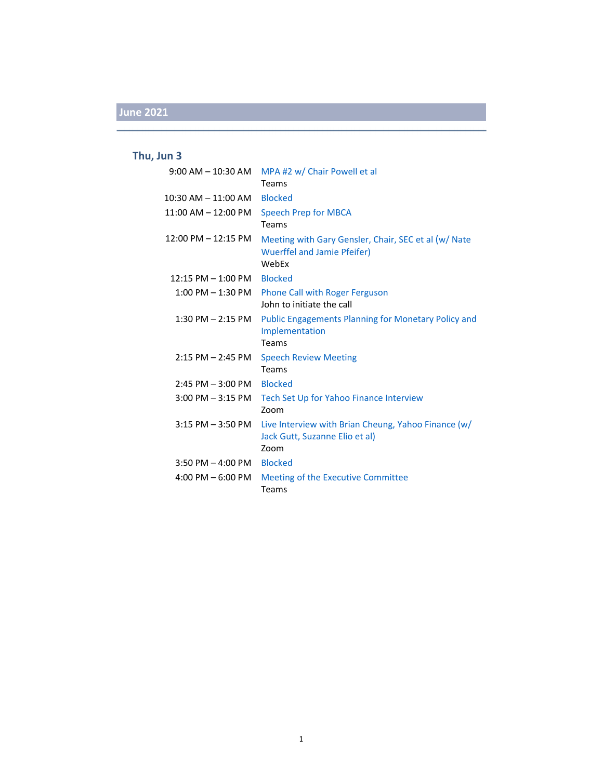### **Thu, Jun 3**

|                              | 9:00 AM - 10:30 AM MPA #2 w/ Chair Powell et al<br>Teams                                            |
|------------------------------|-----------------------------------------------------------------------------------------------------|
| 10:30 AM - 11:00 AM Blocked  |                                                                                                     |
| 11:00 AM - 12:00 PM          | <b>Speech Prep for MBCA</b><br>Teams                                                                |
| 12:00 PM - 12:15 PM          | Meeting with Gary Gensler, Chair, SEC et al (w/ Nate<br><b>Wuerffel and Jamie Pfeifer)</b><br>WebFx |
| 12:15 PM - 1:00 PM Blocked   |                                                                                                     |
|                              | 1:00 PM - 1:30 PM Phone Call with Roger Ferguson<br>John to initiate the call                       |
| $1:30$ PM $- 2:15$ PM        | <b>Public Engagements Planning for Monetary Policy and</b><br>Implementation<br>Teams               |
| $2:15$ PM $- 2:45$ PM        | <b>Speech Review Meeting</b><br>Teams                                                               |
| $2:45$ PM $-3:00$ PM Blocked |                                                                                                     |
| $3:00$ PM $-3:15$ PM         | Tech Set Up for Yahoo Finance Interview<br>Zoom                                                     |
| $3:15$ PM $-3:50$ PM         | Live Interview with Brian Cheung, Yahoo Finance (w/<br>Jack Gutt, Suzanne Elio et al)<br>Zoom       |
| 3:50 PM - 4:00 PM Blocked    |                                                                                                     |
| 4:00 PM $-6:00$ PM           | Meeting of the Executive Committee<br>Teams                                                         |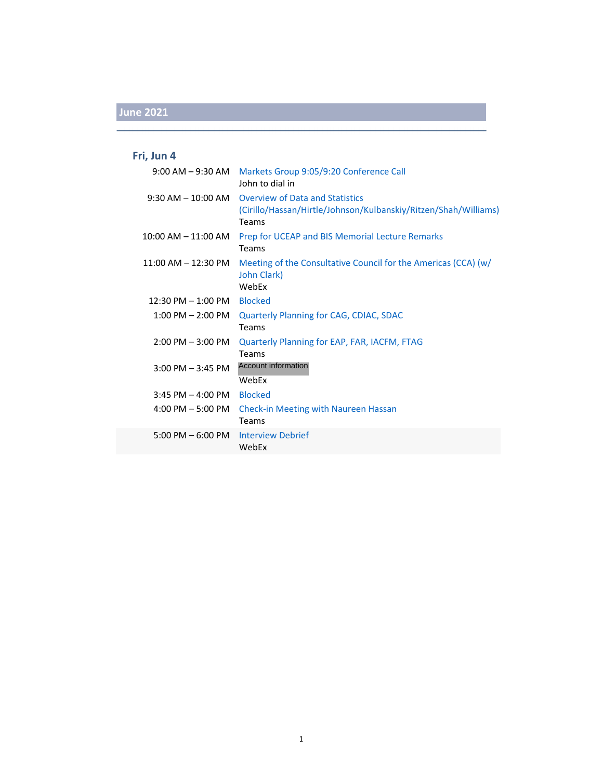### **Fri, Jun 4**

|                                     | 9:00 AM - 9:30 AM Markets Group 9:05/9:20 Conference Call<br>John to dial in                                       |
|-------------------------------------|--------------------------------------------------------------------------------------------------------------------|
| $9:30$ AM $-$ 10:00 AM              | <b>Overview of Data and Statistics</b><br>(Cirillo/Hassan/Hirtle/Johnson/Kulbanskiy/Ritzen/Shah/Williams)<br>Teams |
| $10:00$ AM $- 11:00$ AM             | Prep for UCEAP and BIS Memorial Lecture Remarks<br>Teams                                                           |
| $11:00$ AM $- 12:30$ PM             | Meeting of the Consultative Council for the Americas (CCA) (w/<br>John Clark)<br>WebEx                             |
| $12:30$ PM $- 1:00$ PM              | <b>Blocked</b>                                                                                                     |
| $1:00$ PM $- 2:00$ PM               | <b>Quarterly Planning for CAG, CDIAC, SDAC</b><br><b>Teams</b>                                                     |
| $2:00$ PM $-3:00$ PM                | Quarterly Planning for EAP, FAR, IACFM, FTAG<br>Teams                                                              |
| $3:00$ PM $-3:45$ PM                | <b>Account information</b><br>WebEx                                                                                |
| $3:45$ PM $-$ 4:00 PM               | <b>Blocked</b>                                                                                                     |
| $4:00$ PM $-5:00$ PM                | <b>Check-in Meeting with Naureen Hassan</b><br><b>Teams</b>                                                        |
| $5:00 \text{ PM} - 6:00 \text{ PM}$ | <b>Interview Debrief</b><br>WebEx                                                                                  |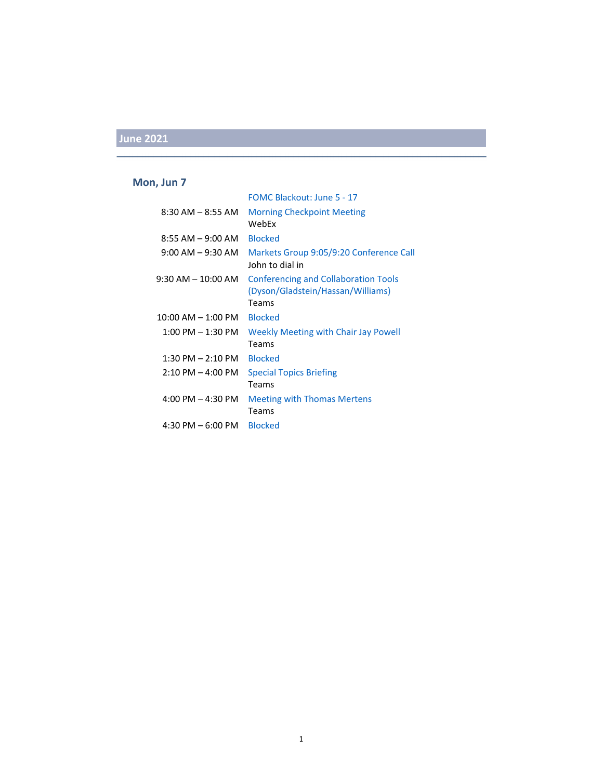#### **Mon, Jun 7**

|                           | FOMC Blackout: June 5 - 17                                                       |
|---------------------------|----------------------------------------------------------------------------------|
| 8:30 AM – 8:55 AM         | <b>Morning Checkpoint Meeting</b><br>WebEx                                       |
|                           |                                                                                  |
| $8:55$ AM $-9:00$ AM      | <b>Blocked</b>                                                                   |
| $9:00$ AM $ 9:30$ AM      | Markets Group 9:05/9:20 Conference Call<br>John to dial in                       |
| $9:30$ AM $-$ 10:00 AM    | <b>Conferencing and Collaboration Tools</b><br>(Dyson/Gladstein/Hassan/Williams) |
|                           | Teams                                                                            |
| $10:00$ AM $- 1:00$ PM    | <b>Blocked</b>                                                                   |
| $1:00$ PM $ 1:30$ PM $^-$ | <b>Weekly Meeting with Chair Jay Powell</b>                                      |
|                           | Teams                                                                            |
| $1:30$ PM $- 2:10$ PM     | <b>Blocked</b>                                                                   |
| $2:10$ PM $-$ 4:00 PM     | <b>Special Topics Briefing</b>                                                   |
|                           | Teams                                                                            |
| 4:00 PM $-$ 4:30 PM       | <b>Meeting with Thomas Mertens</b>                                               |
|                           | Teams                                                                            |
| 4:30 PM $-$ 6:00 PM       | <b>Blocked</b>                                                                   |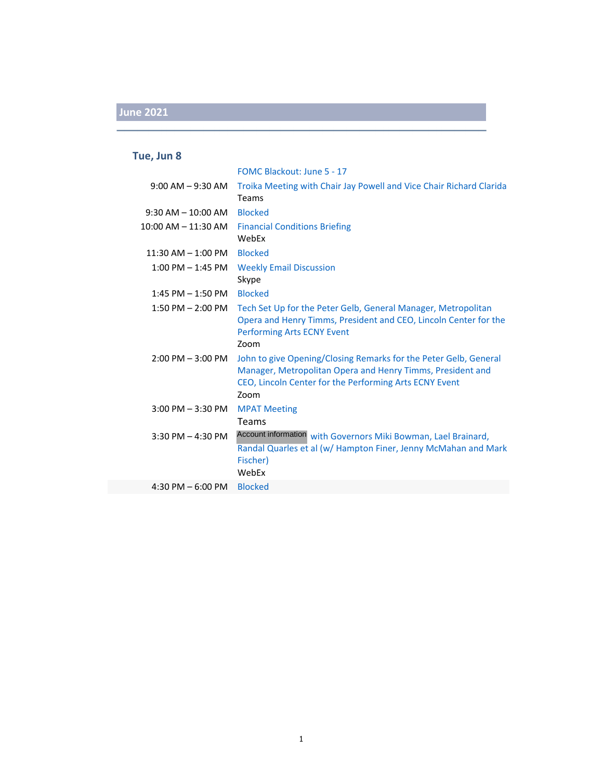#### **Tue, Jun 8**

|                        | FOMC Blackout: June 5 - 17                                                                                                                                                                       |
|------------------------|--------------------------------------------------------------------------------------------------------------------------------------------------------------------------------------------------|
| $9:00$ AM $-9:30$ AM   | Troika Meeting with Chair Jay Powell and Vice Chair Richard Clarida<br>Teams                                                                                                                     |
| $9:30$ AM $- 10:00$ AM | <b>Blocked</b>                                                                                                                                                                                   |
| 10:00 AM - 11:30 AM    | <b>Financial Conditions Briefing</b><br>WebEx                                                                                                                                                    |
| $11:30$ AM $- 1:00$ PM | <b>Blocked</b>                                                                                                                                                                                   |
| $1:00$ PM $-1:45$ PM   | <b>Weekly Email Discussion</b><br>Skype                                                                                                                                                          |
| $1:45$ PM $- 1:50$ PM  | <b>Blocked</b>                                                                                                                                                                                   |
| 1:50 PM $-$ 2:00 PM    | Tech Set Up for the Peter Gelb, General Manager, Metropolitan<br>Opera and Henry Timms, President and CEO, Lincoln Center for the<br><b>Performing Arts ECNY Event</b><br>Zoom                   |
| $2:00$ PM $-3:00$ PM   | John to give Opening/Closing Remarks for the Peter Gelb, General<br>Manager, Metropolitan Opera and Henry Timms, President and<br>CEO, Lincoln Center for the Performing Arts ECNY Event<br>Zoom |
| 3:00 PM - 3:30 PM      | <b>MPAT Meeting</b>                                                                                                                                                                              |
|                        | Teams                                                                                                                                                                                            |
| $3:30$ PM $- 4:30$ PM  | Account information with Governors Miki Bowman, Lael Brainard,<br>Randal Quarles et al (w/ Hampton Finer, Jenny McMahan and Mark<br>Fischer)<br>WebEx                                            |
| 4:30 PM $-6:00$ PM     | <b>Blocked</b>                                                                                                                                                                                   |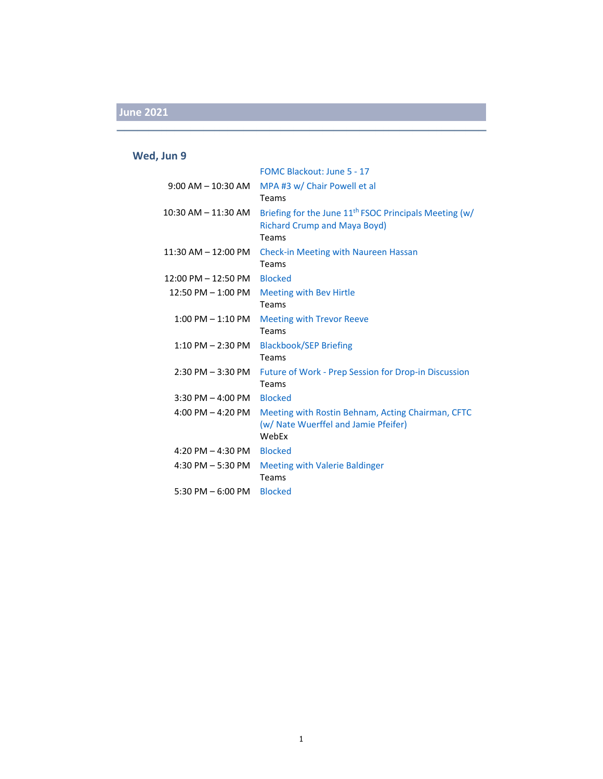### **Wed, Jun 9**

|                         | FOMC Blackout: June 5 - 17                               |
|-------------------------|----------------------------------------------------------|
| $9:00$ AM $- 10:30$ AM  | MPA #3 w/ Chair Powell et al                             |
|                         | Teams                                                    |
| $10:30$ AM $- 11:30$ AM | Briefing for the June $11th$ FSOC Principals Meeting (w/ |
|                         | <b>Richard Crump and Maya Boyd)</b>                      |
|                         | Teams                                                    |
| $11:30$ AM $- 12:00$ PM | <b>Check-in Meeting with Naureen Hassan</b>              |
|                         | Teams                                                    |
| $12:00$ PM $- 12:50$ PM | <b>Blocked</b>                                           |
| $12:50$ PM $- 1:00$ PM  | <b>Meeting with Bev Hirtle</b>                           |
|                         | Teams                                                    |
| $1:00$ PM $-1:10$ PM    | <b>Meeting with Trevor Reeve</b>                         |
|                         | Teams                                                    |
| $1:10$ PM $- 2:30$ PM   | <b>Blackbook/SEP Briefing</b>                            |
|                         | <b>Teams</b>                                             |
| $2:30$ PM $-3:30$ PM    | Future of Work - Prep Session for Drop-in Discussion     |
|                         | Teams                                                    |
| $3:30$ PM $-$ 4:00 PM   | <b>Blocked</b>                                           |
| $4:00$ PM $- 4:20$ PM   | Meeting with Rostin Behnam, Acting Chairman, CFTC        |
|                         | (w/ Nate Wuerffel and Jamie Pfeifer)                     |
|                         | WebEx                                                    |
| 4:20 PM $-$ 4:30 PM     | <b>Blocked</b>                                           |
| 4:30 PM $-$ 5:30 PM     | <b>Meeting with Valerie Baldinger</b>                    |
|                         | Teams                                                    |
| 5:30 PM $-$ 6:00 PM     | <b>Blocked</b>                                           |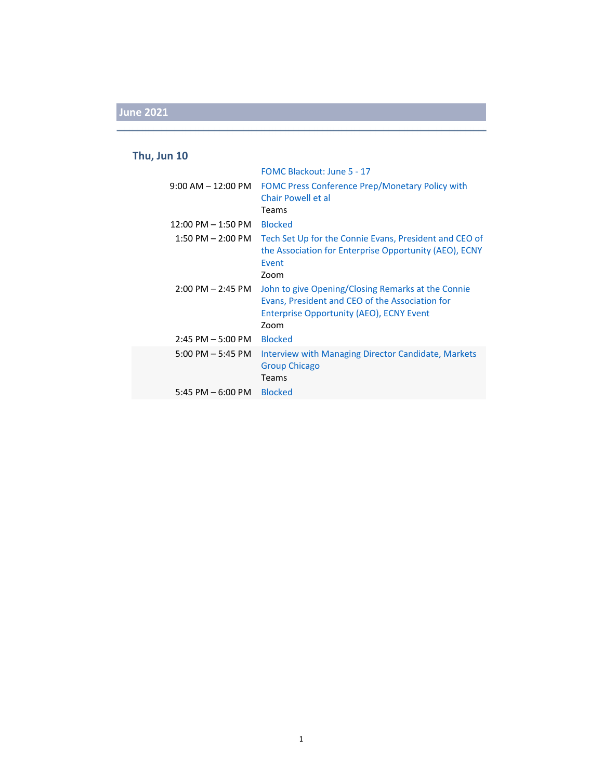#### **Thu, Jun 10**

|                                     | FOMC Blackout: June 5 - 17                                                                                                                                |
|-------------------------------------|-----------------------------------------------------------------------------------------------------------------------------------------------------------|
| $9:00$ AM $-12:00$ PM               | FOMC Press Conference Prep/Monetary Policy with<br>Chair Powell et al                                                                                     |
|                                     | Teams                                                                                                                                                     |
| $12:00$ PM $- 1:50$ PM              | <b>Blocked</b>                                                                                                                                            |
| $1:50 \text{ PM} - 2:00 \text{ PM}$ | Tech Set Up for the Connie Evans, President and CEO of<br>the Association for Enterprise Opportunity (AEO), ECNY<br>Event<br>Zoom                         |
| $2:00 \text{ PM} - 2:45 \text{ PM}$ | John to give Opening/Closing Remarks at the Connie<br>Evans, President and CEO of the Association for<br>Enterprise Opportunity (AEO), ECNY Event<br>Zoom |
| $2:45$ PM $-5:00$ PM                | <b>Blocked</b>                                                                                                                                            |
| $5:00$ PM $-5:45$ PM                | Interview with Managing Director Candidate, Markets<br><b>Group Chicago</b><br><b>Teams</b>                                                               |
| 5:45 PM $-$ 6:00 PM                 | <b>Blocked</b>                                                                                                                                            |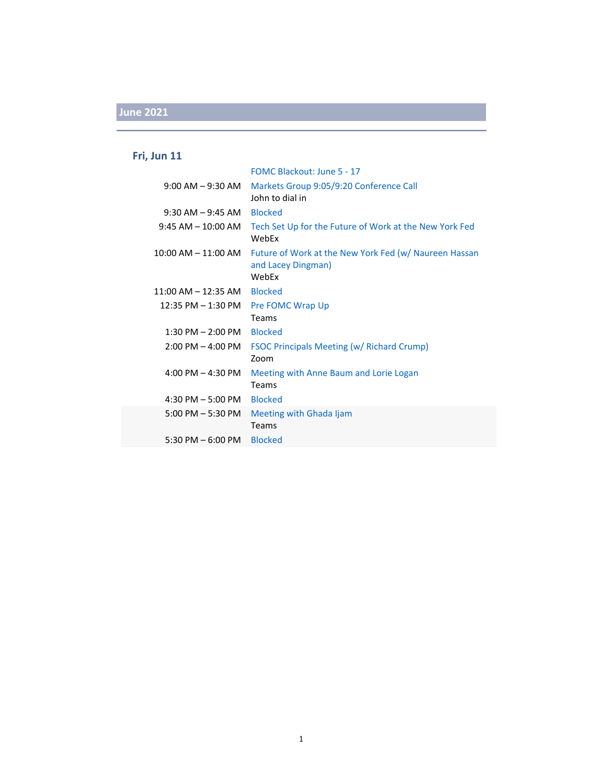### **Fri, Jun 11**

|                         | FOMC Blackout: June 5 - 17                                                           |
|-------------------------|--------------------------------------------------------------------------------------|
| $9:00$ AM $-9:30$ AM    | Markets Group 9:05/9:20 Conference Call<br>John to dial in                           |
| $9:30$ AM $-9:45$ AM    | <b>Blocked</b>                                                                       |
| $9:45$ AM $-$ 10:00 AM  | Tech Set Up for the Future of Work at the New York Fed<br>WebEx                      |
| $10:00$ AM $- 11:00$ AM | Future of Work at the New York Fed (w/ Naureen Hassan<br>and Lacey Dingman)<br>WebEx |
| $11:00$ AM $- 12:35$ AM | <b>Blocked</b>                                                                       |
| $12:35$ PM $- 1:30$ PM  | Pre FOMC Wrap Up                                                                     |
|                         | Teams                                                                                |
| $1:30$ PM $- 2:00$ PM   | <b>Blocked</b>                                                                       |
| $2:00$ PM $-$ 4:00 PM   | <b>FSOC Principals Meeting (w/ Richard Crump)</b><br>Zoom                            |
| 4:00 PM $-$ 4:30 PM     | Meeting with Anne Baum and Lorie Logan<br>Teams                                      |
| 4:30 PM $-$ 5:00 PM     | <b>Blocked</b>                                                                       |
| $5:00$ PM $-5:30$ PM    | Meeting with Ghada Ijam<br>Teams                                                     |
| $5:30$ PM $-6:00$ PM    | <b>Blocked</b>                                                                       |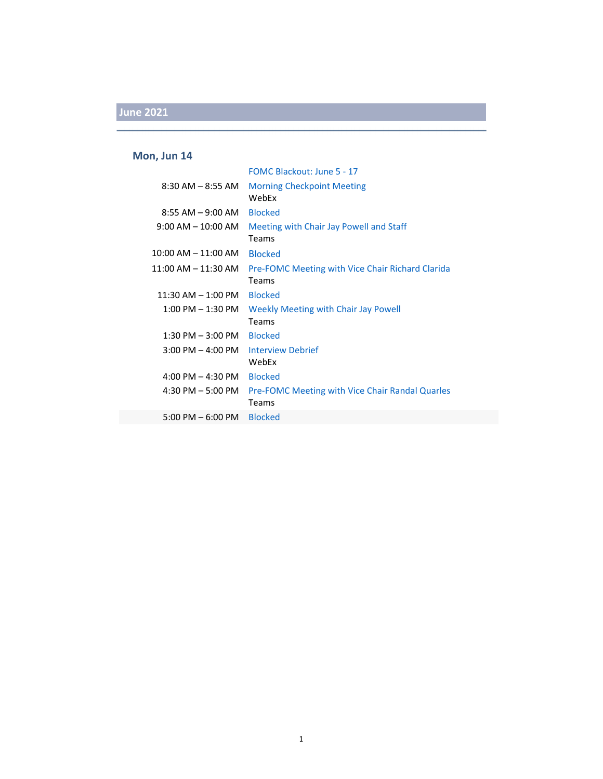#### **Mon, Jun 14**

|                         | FOMC Blackout: June 5 - 17                                              |
|-------------------------|-------------------------------------------------------------------------|
| $8:30$ AM $-8:55$ AM    | <b>Morning Checkpoint Meeting</b><br>WebFx                              |
| $8:55$ AM $-9:00$ AM    | <b>Blocked</b>                                                          |
| $9:00$ AM $-$ 10:00 AM  | Meeting with Chair Jay Powell and Staff<br><b>Teams</b>                 |
| $10:00$ AM $- 11:00$ AM | <b>Blocked</b>                                                          |
| $11:00$ AM $-11:30$ AM  | <b>Pre-FOMC Meeting with Vice Chair Richard Clarida</b><br><b>Teams</b> |
| $11:30$ AM $- 1:00$ PM  | <b>Blocked</b>                                                          |
| $1:00$ PM $-1:30$ PM    | Weekly Meeting with Chair Jay Powell<br><b>Teams</b>                    |
| $1:30$ PM $-3:00$ PM    | <b>Blocked</b>                                                          |
| $3:00$ PM $-$ 4:00 PM   | Interview Debrief<br>WebEx                                              |
| 4:00 PM $-$ 4:30 PM     | <b>Blocked</b>                                                          |
| $4:30$ PM $-5:00$ PM    | <b>Pre-FOMC Meeting with Vice Chair Randal Quarles</b><br><b>Teams</b>  |
| $5:00$ PM $-6:00$ PM    | <b>Blocked</b>                                                          |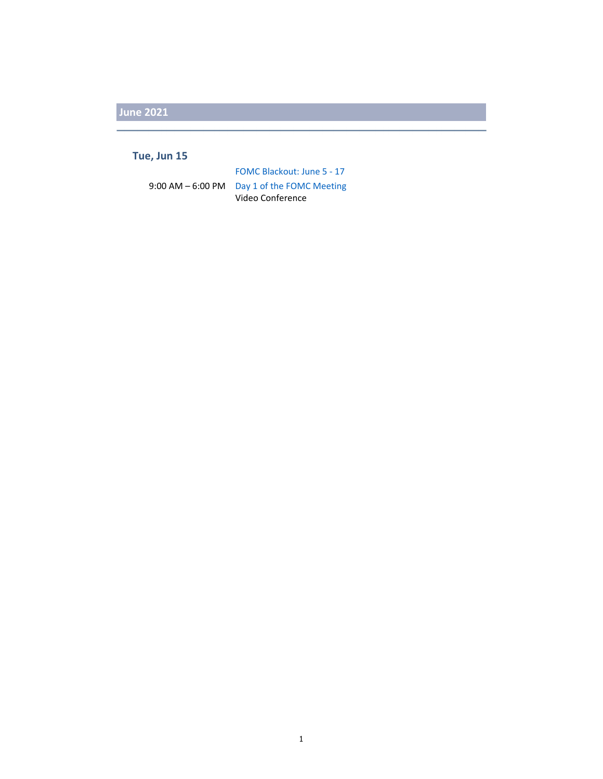#### **Tue, Jun 15**

FOMC Blackout: June 5 ‐ 17 9:00 AM – 6:00 PM Day 1 of the FOMC Meeting Video Conference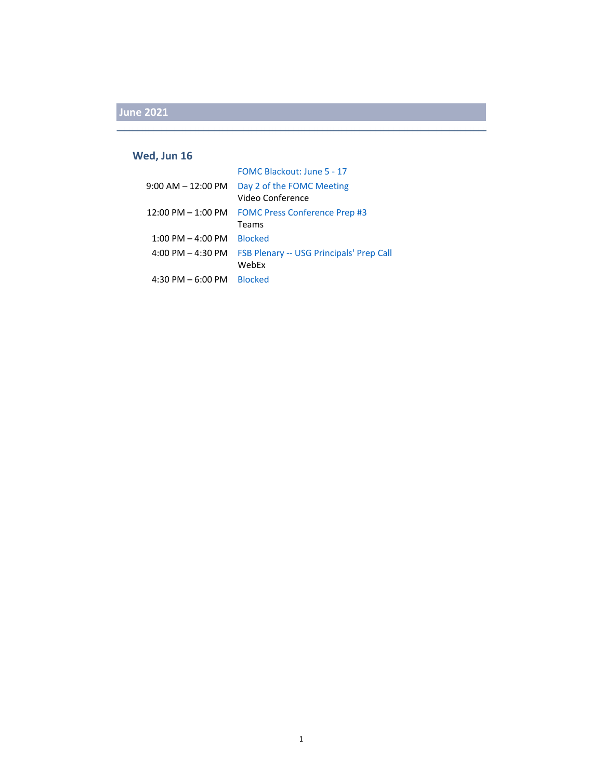#### **Wed, Jun 16**

|                        | FOMC Blackout: June 5 - 17                      |
|------------------------|-------------------------------------------------|
| $9:00$ AM $-12:00$ PM  | Day 2 of the FOMC Meeting                       |
|                        | Video Conference                                |
| $12:00$ PM $- 1:00$ PM | <b>FOMC Press Conference Prep #3</b>            |
|                        | Teams                                           |
| $1:00$ PM $-$ 4:00 PM  | <b>Blocked</b>                                  |
| $4:00$ PM $- 4:30$ PM  | <b>FSB Plenary -- USG Principals' Prep Call</b> |
|                        | WebEx                                           |
| $4:30$ PM $-6:00$ PM   | <b>Blocked</b>                                  |
|                        |                                                 |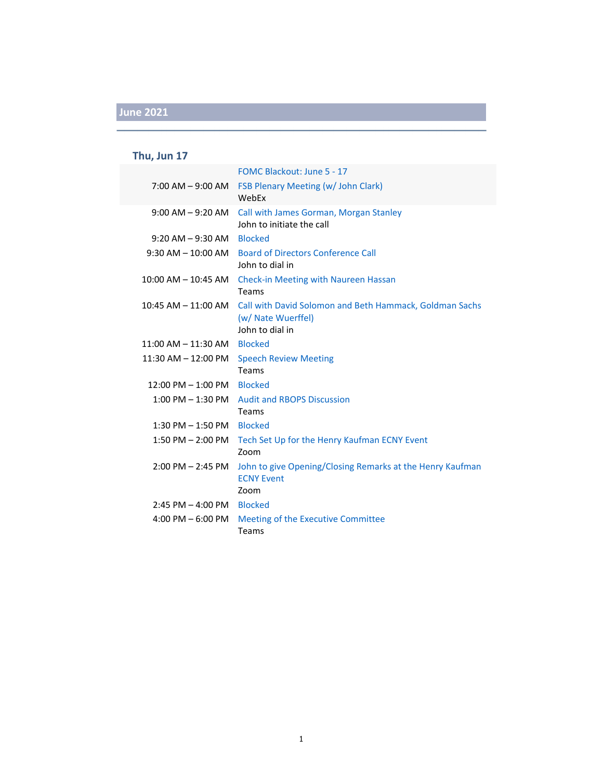#### **Thu, Jun 17**

|                                      | FOMC Blackout: June 5 - 17                                                                       |
|--------------------------------------|--------------------------------------------------------------------------------------------------|
| $7:00$ AM $-9:00$ AM                 | <b>FSB Plenary Meeting (w/ John Clark)</b><br>WebFx                                              |
|                                      | 9:00 AM - 9:20 AM Call with James Gorman, Morgan Stanley<br>John to initiate the call            |
| $9:20$ AM $-9:30$ AM Blocked         |                                                                                                  |
|                                      | 9:30 AM - 10:00 AM Board of Directors Conference Call<br>John to dial in                         |
|                                      | 10:00 AM - 10:45 AM Check-in Meeting with Naureen Hassan<br>Teams                                |
| $10:45$ AM $- 11:00$ AM              | Call with David Solomon and Beth Hammack, Goldman Sachs<br>(w/ Nate Wuerffel)<br>John to dial in |
| 11:00 AM - 11:30 AM Blocked          |                                                                                                  |
| $11:30$ AM $- 12:00$ PM              | <b>Speech Review Meeting</b><br>Teams                                                            |
| $12:00 \text{ PM} - 1:00 \text{ PM}$ | <b>Blocked</b>                                                                                   |
| $1:00$ PM $-1:30$ PM                 | <b>Audit and RBOPS Discussion</b><br>Teams                                                       |
| 1:30 PM - 1:50 PM Blocked            |                                                                                                  |
| 1:50 PM - 2:00 PM                    | Tech Set Up for the Henry Kaufman ECNY Event<br>Zoom                                             |
| $2:00$ PM $- 2:45$ PM                | John to give Opening/Closing Remarks at the Henry Kaufman<br><b>ECNY Event</b><br>Zoom           |
| 2:45 PM - 4:00 PM Blocked            |                                                                                                  |
| 4:00 PM $-6:00$ PM                   | Meeting of the Executive Committee<br>Teams                                                      |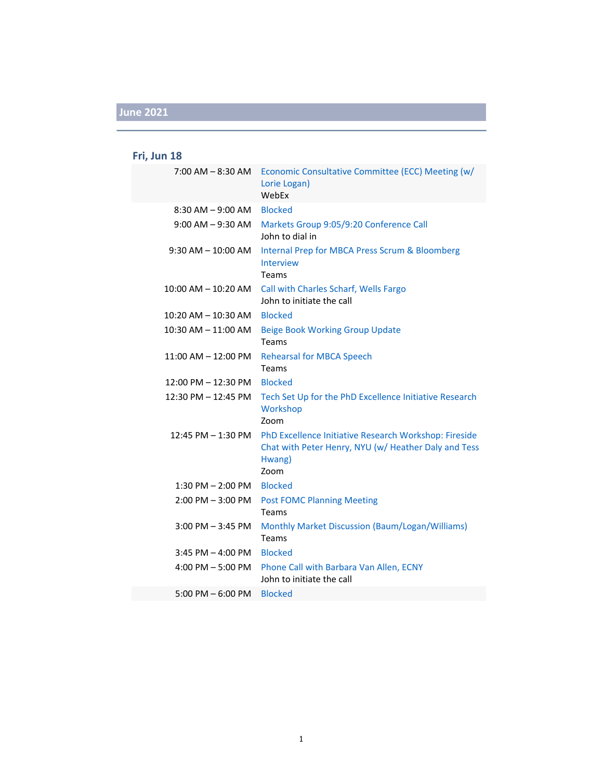### **Fri, Jun 18**

| 7:00 AM - 8:30 AM                   | Economic Consultative Committee (ECC) Meeting (w/                                                                               |
|-------------------------------------|---------------------------------------------------------------------------------------------------------------------------------|
|                                     | Lorie Logan)<br>WebEx                                                                                                           |
| $8:30$ AM $-9:00$ AM                | <b>Blocked</b>                                                                                                                  |
| $9:00$ AM $-9:30$ AM                | Markets Group 9:05/9:20 Conference Call<br>John to dial in                                                                      |
| $9:30$ AM $- 10:00$ AM              | Internal Prep for MBCA Press Scrum & Bloomberg<br>Interview<br>Teams                                                            |
| $10:00$ AM $-$ 10:20 AM             | Call with Charles Scharf, Wells Fargo<br>John to initiate the call                                                              |
| 10:20 AM – 10:30 AM                 | <b>Blocked</b>                                                                                                                  |
| 10:30 AM - 11:00 AM                 | <b>Beige Book Working Group Update</b><br>Teams                                                                                 |
| 11:00 AM – 12:00 PM                 | <b>Rehearsal for MBCA Speech</b><br>Teams                                                                                       |
| 12:00 PM - 12:30 PM                 | <b>Blocked</b>                                                                                                                  |
| 12:30 PM - 12:45 PM                 | Tech Set Up for the PhD Excellence Initiative Research<br>Workshop<br>Zoom                                                      |
| 12:45 PM – 1:30 PM                  | PhD Excellence Initiative Research Workshop: Fireside<br>Chat with Peter Henry, NYU (w/ Heather Daly and Tess<br>Hwang)<br>Zoom |
| 1:30 PM - 2:00 PM                   | <b>Blocked</b>                                                                                                                  |
| $2:00$ PM $-3:00$ PM                | <b>Post FOMC Planning Meeting</b><br>Teams                                                                                      |
| $3:00$ PM $-3:45$ PM                | Monthly Market Discussion (Baum/Logan/Williams)<br>Teams                                                                        |
| $3:45$ PM $-$ 4:00 PM               | <b>Blocked</b>                                                                                                                  |
| $4:00 \text{ PM} - 5:00 \text{ PM}$ | Phone Call with Barbara Van Allen, ECNY<br>John to initiate the call                                                            |
| $5:00$ PM $-6:00$ PM                | <b>Blocked</b>                                                                                                                  |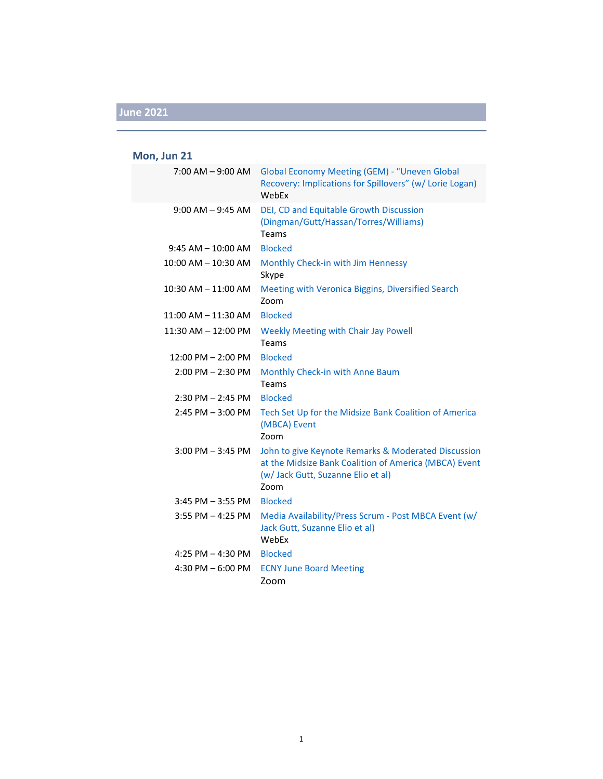#### **Mon, Jun 21**

| $7:00$ AM $-9:00$ AM    | <b>Global Economy Meeting (GEM) - "Uneven Global</b><br>Recovery: Implications for Spillovers" (w/ Lorie Logan)<br>WebEx                                   |
|-------------------------|------------------------------------------------------------------------------------------------------------------------------------------------------------|
| $9:00$ AM $-9:45$ AM    | DEI, CD and Equitable Growth Discussion<br>(Dingman/Gutt/Hassan/Torres/Williams)<br>Teams                                                                  |
| $9:45$ AM $-10:00$ AM   | <b>Blocked</b>                                                                                                                                             |
| $10:00$ AM $- 10:30$ AM | Monthly Check-in with Jim Hennessy<br>Skype                                                                                                                |
| 10:30 AM - 11:00 AM     | Meeting with Veronica Biggins, Diversified Search<br>Zoom                                                                                                  |
| $11:00$ AM $- 11:30$ AM | <b>Blocked</b>                                                                                                                                             |
| 11:30 AM - 12:00 PM     | <b>Weekly Meeting with Chair Jay Powell</b><br>Teams                                                                                                       |
| 12:00 PM - 2:00 PM      | <b>Blocked</b>                                                                                                                                             |
| $2:00$ PM $- 2:30$ PM   | Monthly Check-in with Anne Baum<br>Teams                                                                                                                   |
| $2:30$ PM $- 2:45$ PM   | <b>Blocked</b>                                                                                                                                             |
| $2:45$ PM $-3:00$ PM    | Tech Set Up for the Midsize Bank Coalition of America<br>(MBCA) Event<br>Zoom                                                                              |
| $3:00$ PM $-3:45$ PM    | John to give Keynote Remarks & Moderated Discussion<br>at the Midsize Bank Coalition of America (MBCA) Event<br>(w/ Jack Gutt, Suzanne Elio et al)<br>Zoom |
| $3:45$ PM $-3:55$ PM    | <b>Blocked</b>                                                                                                                                             |
| $3:55$ PM $-4:25$ PM    | Media Availability/Press Scrum - Post MBCA Event (w/<br>Jack Gutt, Suzanne Elio et al)<br>WebEx                                                            |
| 4:25 PM $-$ 4:30 PM     | <b>Blocked</b>                                                                                                                                             |
| 4:30 PM $-6:00$ PM      | <b>ECNY June Board Meeting</b><br>Zoom                                                                                                                     |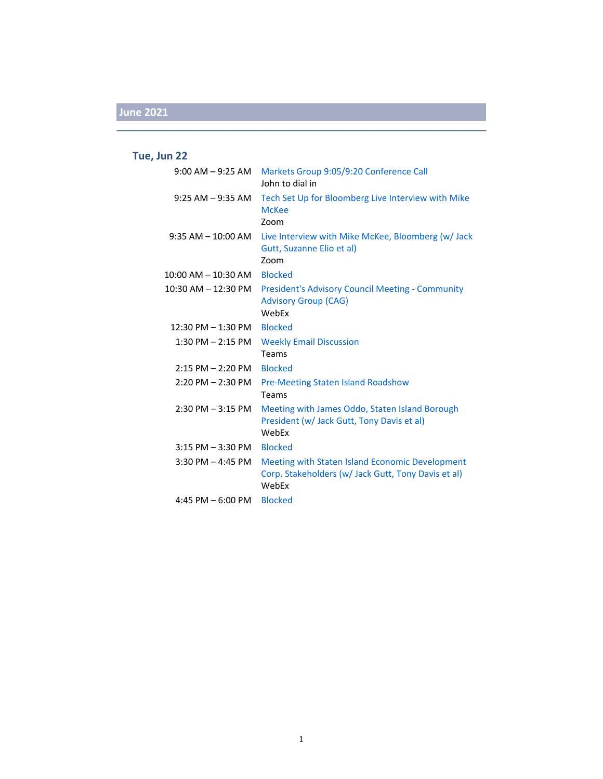### **Tue, Jun 22**

|                              | 9:00 AM - 9:25 AM Markets Group 9:05/9:20 Conference Call<br>John to dial in                                    |
|------------------------------|-----------------------------------------------------------------------------------------------------------------|
| $9:25$ AM $-9:35$ AM         | Tech Set Up for Bloomberg Live Interview with Mike<br><b>McKee</b><br>Zoom                                      |
|                              | 9:35 AM - 10:00 AM Live Interview with Mike McKee, Bloomberg (w/ Jack<br>Gutt, Suzanne Elio et al)<br>Zoom      |
| 10:00 AM - 10:30 AM          | <b>Blocked</b>                                                                                                  |
| 10:30 AM – 12:30 PM          | <b>President's Advisory Council Meeting - Community</b><br><b>Advisory Group (CAG)</b><br>WebEx                 |
| 12:30 PM $-$ 1:30 PM Blocked |                                                                                                                 |
| $1:30$ PM $- 2:15$ PM        | <b>Weekly Email Discussion</b><br>Teams                                                                         |
| $2:15$ PM $-2:20$ PM         | <b>Blocked</b>                                                                                                  |
| $2:20$ PM $-2:30$ PM         | <b>Pre-Meeting Staten Island Roadshow</b><br>Teams                                                              |
| $2:30$ PM $-3:15$ PM         | Meeting with James Oddo, Staten Island Borough<br>President (w/ Jack Gutt, Tony Davis et al)<br>WebEx           |
| 3:15 PM - 3:30 PM            | <b>Blocked</b>                                                                                                  |
| $3:30$ PM $-4:45$ PM         | Meeting with Staten Island Economic Development<br>Corp. Stakeholders (w/ Jack Gutt, Tony Davis et al)<br>WebEx |
| 4:45 PM $-6:00$ PM           | <b>Blocked</b>                                                                                                  |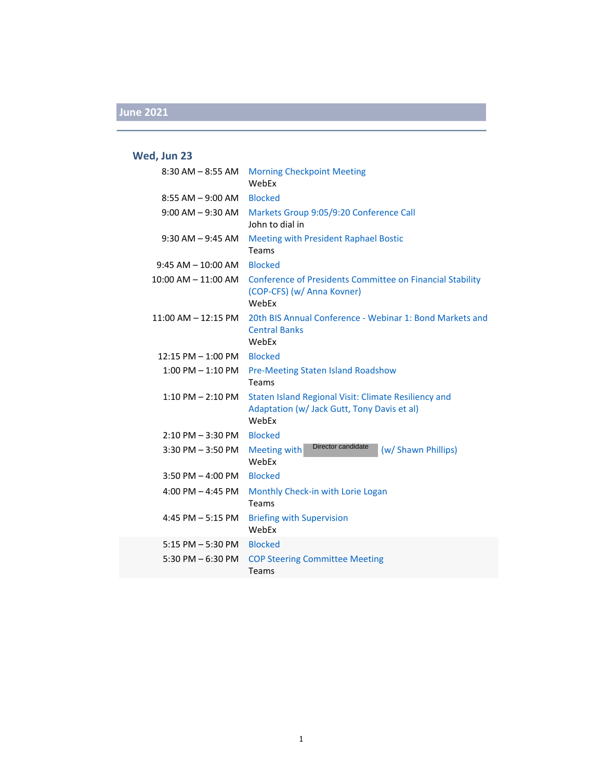### **Wed, Jun 23**

| $8:30$ AM $-8:55$ AM    | <b>Morning Checkpoint Meeting</b><br>WebFx                                                                   |
|-------------------------|--------------------------------------------------------------------------------------------------------------|
| $8:55$ AM $-9:00$ AM    | <b>Blocked</b>                                                                                               |
| $9:00$ AM $-9:30$ AM    | Markets Group 9:05/9:20 Conference Call<br>John to dial in                                                   |
| $9:30$ AM $-9:45$ AM    | <b>Meeting with President Raphael Bostic</b><br>Teams                                                        |
| $9:45$ AM $-10:00$ AM   | <b>Blocked</b>                                                                                               |
| $10:00$ AM $- 11:00$ AM | <b>Conference of Presidents Committee on Financial Stability</b><br>(COP-CFS) (w/ Anna Kovner)<br>WebEx      |
| $11:00$ AM $- 12:15$ PM | 20th BIS Annual Conference - Webinar 1: Bond Markets and<br><b>Central Banks</b><br>WebEx                    |
| $12:15$ PM $- 1:00$ PM  | <b>Blocked</b>                                                                                               |
| $1:00$ PM $-1:10$ PM    | <b>Pre-Meeting Staten Island Roadshow</b><br>Teams                                                           |
| 1:10 PM - 2:10 PM       | Staten Island Regional Visit: Climate Resiliency and<br>Adaptation (w/ Jack Gutt, Tony Davis et al)<br>WebEx |
| $2:10$ PM $-3:30$ PM    | <b>Blocked</b>                                                                                               |
| $3:30$ PM $-3:50$ PM    | Director candidate<br>Meeting with<br>(w/ Shawn Phillips)<br>WebEx                                           |
| $3:50$ PM $-$ 4:00 PM   | <b>Blocked</b>                                                                                               |
| 4:00 PM $-$ 4:45 PM     | Monthly Check-in with Lorie Logan<br>Teams                                                                   |
| 4:45 PM $-$ 5:15 PM     | <b>Briefing with Supervision</b><br>WebFx                                                                    |
| $5:15$ PM $-5:30$ PM    | <b>Blocked</b>                                                                                               |
| 5:30 PM $-$ 6:30 PM     | <b>COP Steering Committee Meeting</b><br>Teams                                                               |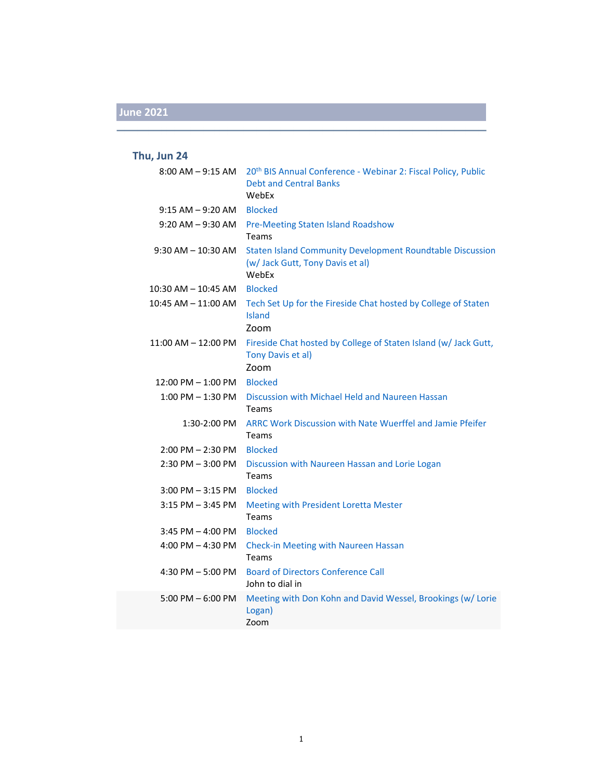#### **Thu, Jun 24**

| $8:00$ AM $-9:15$ AM    | 20 <sup>th</sup> BIS Annual Conference - Webinar 2: Fiscal Policy, Public<br><b>Debt and Central Banks</b><br>WebEx |
|-------------------------|---------------------------------------------------------------------------------------------------------------------|
| $9:15$ AM $-9:20$ AM    | <b>Blocked</b>                                                                                                      |
| $9:20$ AM $-9:30$ AM    | Pre-Meeting Staten Island Roadshow<br>Teams                                                                         |
| $9:30$ AM $- 10:30$ AM  | <b>Staten Island Community Development Roundtable Discussion</b><br>(w/ Jack Gutt, Tony Davis et al)<br>WebEx       |
| $10:30$ AM $-$ 10:45 AM | <b>Blocked</b>                                                                                                      |
| 10:45 AM - 11:00 AM     | Tech Set Up for the Fireside Chat hosted by College of Staten<br><b>Island</b><br>Zoom                              |
| $11:00$ AM $- 12:00$ PM | Fireside Chat hosted by College of Staten Island (w/ Jack Gutt,<br>Tony Davis et al)<br>Zoom                        |
| $12:00$ PM $- 1:00$ PM  | <b>Blocked</b>                                                                                                      |
| $1:00$ PM $-1:30$ PM    | Discussion with Michael Held and Naureen Hassan<br>Teams                                                            |
| 1:30-2:00 PM            | ARRC Work Discussion with Nate Wuerffel and Jamie Pfeifer<br>Teams                                                  |
| 2:00 PM - 2:30 PM       | <b>Blocked</b>                                                                                                      |
| $2:30$ PM $-3:00$ PM    | Discussion with Naureen Hassan and Lorie Logan<br>Teams                                                             |
| $3:00$ PM $-3:15$ PM    | <b>Blocked</b>                                                                                                      |
| $3:15$ PM $-3:45$ PM    | Meeting with President Loretta Mester<br>Teams                                                                      |
| $3:45$ PM $- 4:00$ PM   | <b>Blocked</b>                                                                                                      |
| $4:00$ PM $-4:30$ PM    | Check-in Meeting with Naureen Hassan<br>Teams                                                                       |
| 4:30 PM $-$ 5:00 PM     | <b>Board of Directors Conference Call</b><br>John to dial in                                                        |
| $5:00$ PM $-6:00$ PM    | Meeting with Don Kohn and David Wessel, Brookings (w/ Lorie<br>Logan)<br>Zoom                                       |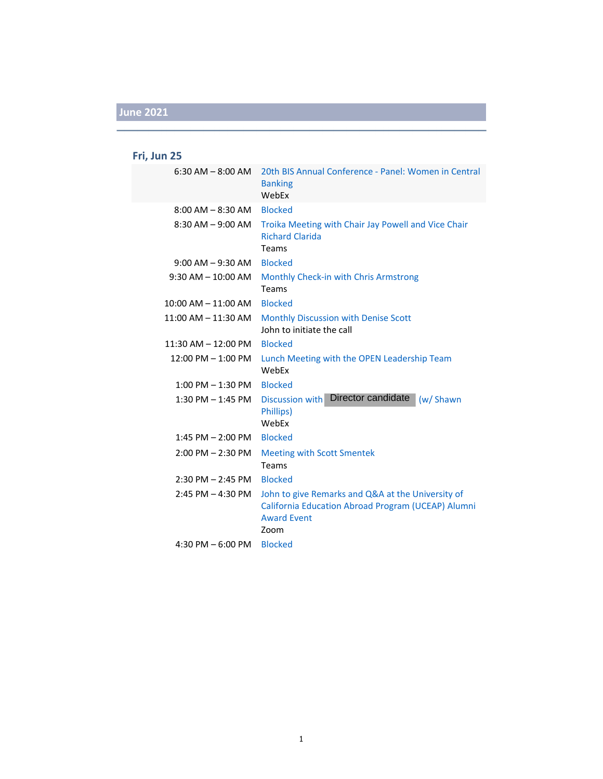### **Fri, Jun 25**

| $6:30$ AM $-$ 8:00 AM   | 20th BIS Annual Conference - Panel: Women in Central<br><b>Banking</b><br>WebEx                                                       |
|-------------------------|---------------------------------------------------------------------------------------------------------------------------------------|
| $8:00$ AM $-$ 8:30 AM   | <b>Blocked</b>                                                                                                                        |
| $8:30$ AM $-9:00$ AM    | Troika Meeting with Chair Jay Powell and Vice Chair<br><b>Richard Clarida</b><br>Teams                                                |
| $9:00$ AM $-9:30$ AM    | <b>Blocked</b>                                                                                                                        |
| $9:30$ AM $- 10:00$ AM  | Monthly Check-in with Chris Armstrong<br>Teams                                                                                        |
| $10:00$ AM $- 11:00$ AM | <b>Blocked</b>                                                                                                                        |
| $11:00$ AM $- 11:30$ AM | Monthly Discussion with Denise Scott<br>John to initiate the call                                                                     |
| $11:30$ AM $- 12:00$ PM | <b>Blocked</b>                                                                                                                        |
| $12:00$ PM $- 1:00$ PM  | Lunch Meeting with the OPEN Leadership Team<br>WebEx                                                                                  |
| $1:00$ PM $-1:30$ PM    | <b>Blocked</b>                                                                                                                        |
| $1:30$ PM $-1:45$ PM    | Discussion with Director candidate<br>(w/ Shawn<br>Phillips)<br>WebEx                                                                 |
| $1:45$ PM $- 2:00$ PM   | <b>Blocked</b>                                                                                                                        |
| $2:00$ PM $- 2:30$ PM   | <b>Meeting with Scott Smentek</b><br>Teams                                                                                            |
| $2:30$ PM $- 2:45$ PM   | <b>Blocked</b>                                                                                                                        |
| $2:45$ PM $- 4:30$ PM   | John to give Remarks and Q&A at the University of<br>California Education Abroad Program (UCEAP) Alumni<br><b>Award Event</b><br>Zoom |
| 4:30 PM $-6:00$ PM      | <b>Blocked</b>                                                                                                                        |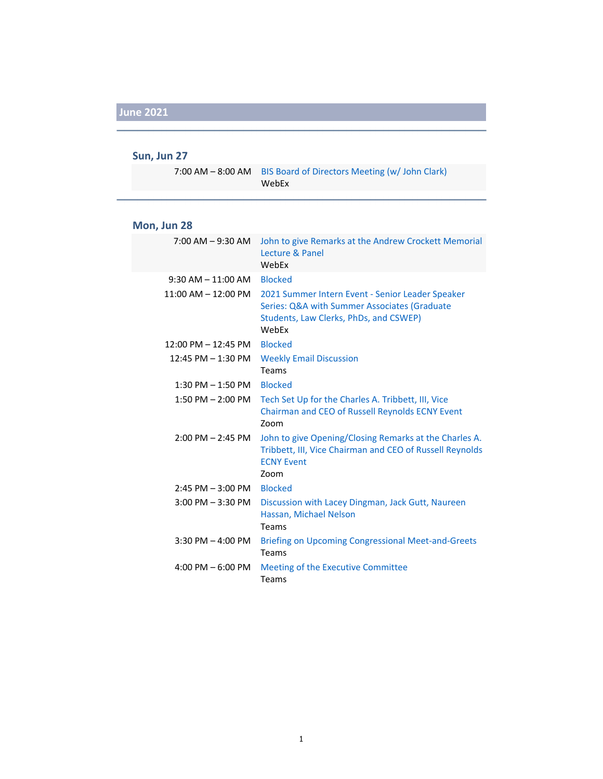#### **Sun, Jun 27**

7:00 AM – 8:00 AM BIS Board of Directors Meeting (w/ John Clark) WebEx

#### **Mon, Jun 28**

| 7:00 AM – 9:30 AM                     | John to give Remarks at the Andrew Crockett Memorial<br>Lecture & Panel<br>WebEx                                                                    |
|---------------------------------------|-----------------------------------------------------------------------------------------------------------------------------------------------------|
| $9:30$ AM $-11:00$ AM                 | <b>Blocked</b>                                                                                                                                      |
| $11:00$ AM $- 12:00$ PM               | 2021 Summer Intern Event - Senior Leader Speaker<br>Series: Q&A with Summer Associates (Graduate<br>Students, Law Clerks, PhDs, and CSWEP)<br>WebFx |
| $12:00 \text{ PM} - 12:45 \text{ PM}$ | <b>Blocked</b>                                                                                                                                      |
| 12:45 PM - 1:30 PM                    | <b>Weekly Email Discussion</b><br>Teams                                                                                                             |
| $1:30$ PM $-1:50$ PM                  | <b>Blocked</b>                                                                                                                                      |
| $1:50$ PM $- 2:00$ PM                 | Tech Set Up for the Charles A. Tribbett, III, Vice<br>Chairman and CEO of Russell Reynolds ECNY Event<br>Zoom                                       |
| $2:00$ PM $- 2:45$ PM                 | John to give Opening/Closing Remarks at the Charles A.<br>Tribbett, III, Vice Chairman and CEO of Russell Reynolds<br><b>ECNY Event</b><br>Zoom     |
| $2:45$ PM $-3:00$ PM                  | <b>Blocked</b>                                                                                                                                      |
| $3:00$ PM $-3:30$ PM                  | Discussion with Lacey Dingman, Jack Gutt, Naureen<br>Hassan, Michael Nelson<br>Teams                                                                |
| $3:30$ PM $-$ 4:00 PM                 | <b>Briefing on Upcoming Congressional Meet-and-Greets</b><br>Teams                                                                                  |
| 4:00 PM $-$ 6:00 PM                   | Meeting of the Executive Committee<br>Teams                                                                                                         |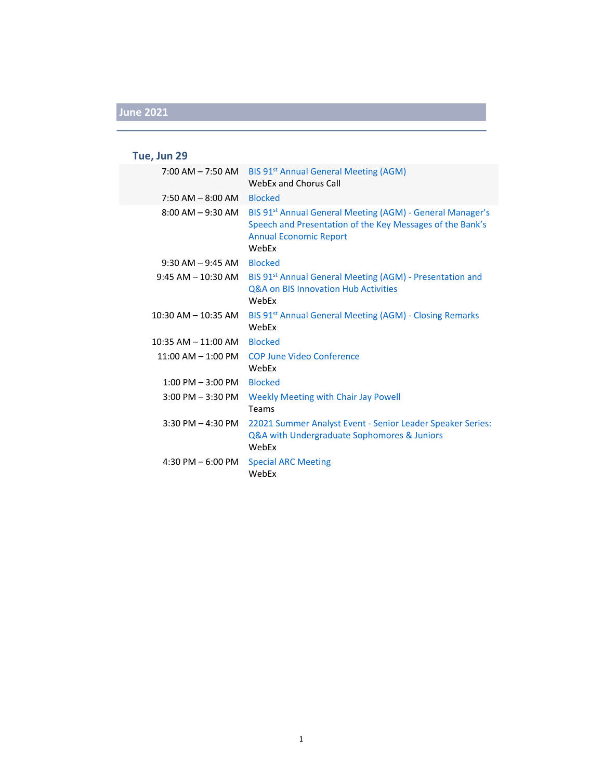### **Tue, Jun 29**

| 7:00 AM – 7:50 AM       | BIS 91 <sup>st</sup> Annual General Meeting (AGM)<br>WebEx and Chorus Call                                                                                                   |
|-------------------------|------------------------------------------------------------------------------------------------------------------------------------------------------------------------------|
| $7:50$ AM $-$ 8:00 AM   | <b>Blocked</b>                                                                                                                                                               |
| $8:00$ AM $-9:30$ AM    | BIS 91 <sup>st</sup> Annual General Meeting (AGM) - General Manager's<br>Speech and Presentation of the Key Messages of the Bank's<br><b>Annual Economic Report</b><br>WebEx |
| $9:30$ AM $-9:45$ AM    | <b>Blocked</b>                                                                                                                                                               |
| $9:45 AM - 10:30 AM$    | BIS 91 <sup>st</sup> Annual General Meeting (AGM) - Presentation and<br><b>Q&amp;A on BIS Innovation Hub Activities</b><br>WebEx                                             |
| 10:30 AM - 10:35 AM     | BIS 91 <sup>st</sup> Annual General Meeting (AGM) - Closing Remarks<br>WebEx                                                                                                 |
| $10:35$ AM $- 11:00$ AM | <b>Blocked</b>                                                                                                                                                               |
| $11:00$ AM $-1:00$ PM   | <b>COP June Video Conference</b><br>WebEx                                                                                                                                    |
| $1:00$ PM $-3:00$ PM    | <b>Blocked</b>                                                                                                                                                               |
| $3:00$ PM $-3:30$ PM    | <b>Weekly Meeting with Chair Jay Powell</b><br>Teams                                                                                                                         |
| $3:30$ PM $-$ 4:30 PM   | 22021 Summer Analyst Event - Senior Leader Speaker Series:<br>Q&A with Undergraduate Sophomores & Juniors<br>WebEx                                                           |
| 4:30 PM $-6:00$ PM      | <b>Special ARC Meeting</b><br>WebEx                                                                                                                                          |